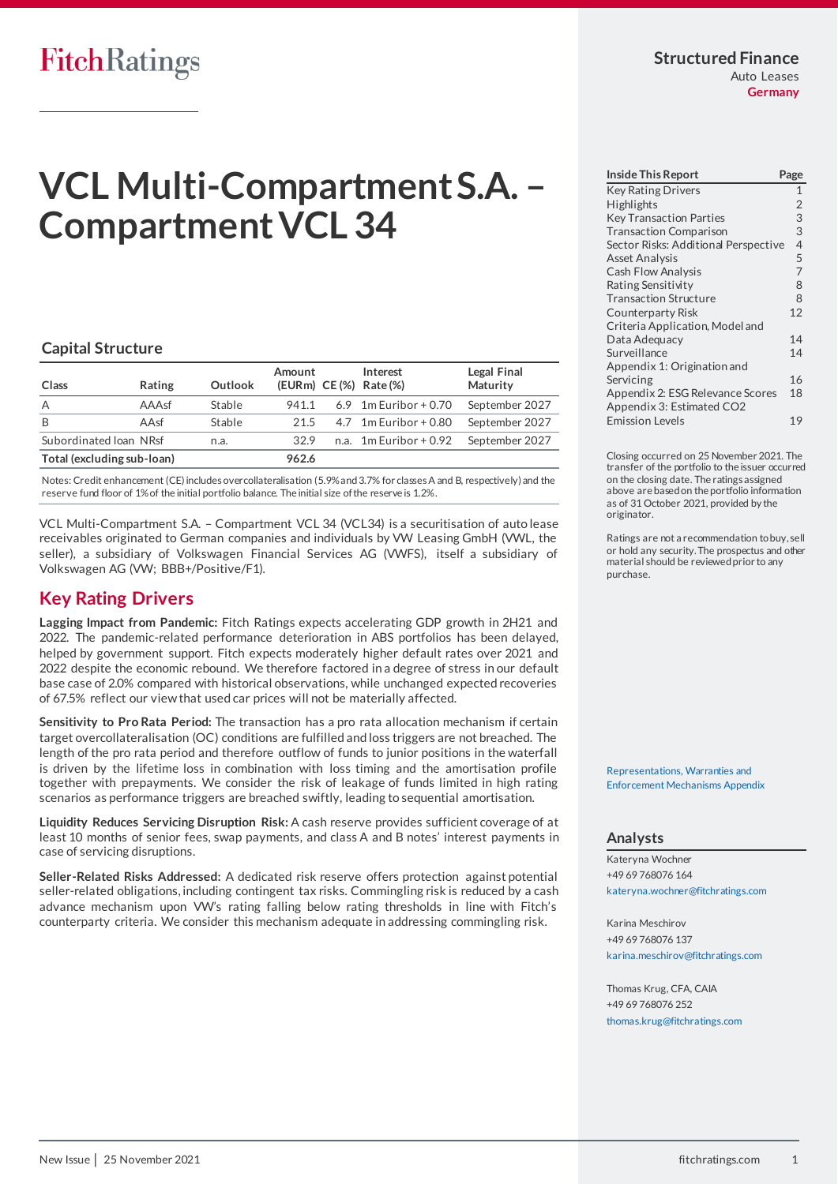# **FitchRatings**

# **VCL Multi-Compartment S.A. – Compartment VCL 34**

# **Capital Structure**

| Class                      | Rating   | Outlook | Amount | Interest<br>(EURm) CE (%) Rate (%) | Legal Final<br>Maturity |
|----------------------------|----------|---------|--------|------------------------------------|-------------------------|
| A                          | $AAA$ sf | Stable  | 941.1  | 6.9 $1m$ Euribor + 0.70            | September 2027          |
| B                          | AAsf     | Stable  | 21.5   | $4.7$ 1m Euribor + 0.80            | September 2027          |
| Subordinated Ioan NRsf     |          | n.a.    | 32.9   | n.a. $1m$ Euribor + 0.92           | September 2027          |
| Total (excluding sub-loan) |          |         | 962.6  |                                    |                         |

Notes: Credit enhancement (CE) includes overcollateralisation (5.9% and 3.7% for classes A and B, respectively) and the reserve fund floor of 1% of the initial portfolio balance. The initial size of the reserve is 1.2%.

VCL Multi-Compartment S.A. – Compartment VCL 34 (VCL34) is a securitisation of auto lease receivables originated to German companies and individuals by VW Leasing GmbH (VWL, the seller), a subsidiary of Volkswagen Financial Services AG (VWFS), itself a subsidiary of Volkswagen AG (VW; BBB+/Positive/F1).

# <span id="page-0-0"></span>**Key Rating Drivers**

**Lagging Impact from Pandemic:** Fitch Ratings expects accelerating GDP growth in 2H21 and 2022. The pandemic-related performance deterioration in ABS portfolios has been delayed, helped by government support. Fitch expects moderately higher default rates over 2021 and 2022 despite the economic rebound. We therefore factored in a degree of stress in our default base case of 2.0% compared with historical observations, while unchanged expected recoveries of 67.5% reflect our view that used car prices will not be materially affected.

**Sensitivity to Pro Rata Period:** The transaction has a pro rata allocation mechanism if certain target overcollateralisation (OC) conditions are fulfilled and loss triggers are not breached. The length of the pro rata period and therefore outflow of funds to junior positions in the waterfall is driven by the lifetime loss in combination with loss timing and the amortisation profile together with prepayments. We consider the risk of leakage of funds limited in high rating scenarios as performance triggers are breached swiftly, leading to sequential amortisation.

**Liquidity Reduces Servicing Disruption Risk:** A cash reserve provides sufficient coverage of at least 10 months of senior fees, swap payments, and class A and B notes' interest payments in case of servicing disruptions.

**Seller-Related Risks Addressed:** A dedicated risk reserve offers protection against potential seller-related obligations, including contingent tax risks. Commingling risk is reduced by a cash advance mechanism upon VW's rating falling below rating thresholds in line with Fitch's counterparty criteria. We consider this mechanism adequate in addressing commingling risk.

#### **Structured Finance** Auto Leases **Germany**

| <b>Inside This Report</b>            | Page           |
|--------------------------------------|----------------|
| <b>Key Rating Drivers</b>            | $\mathbf{1}$   |
| <b>Highlights</b>                    | $\overline{2}$ |
| <b>Key Transaction Parties</b>       | 3              |
| <b>Transaction Comparison</b>        | 3              |
| Sector Risks: Additional Perspective | $\overline{4}$ |
| <b>Asset Analysis</b>                | 5              |
| Cash Flow Analysis                   | $\overline{7}$ |
| Rating Sensitivity                   | 8              |
| <b>Transaction Structure</b>         | 8              |
| Counterparty Risk                    | 12             |
| Criteria Application, Model and      |                |
| Data Adequacy                        | 14             |
| Surveillance                         | 14             |
| Appendix 1: Origination and          |                |
| Servicing                            | 16             |
| Appendix 2: ESG Relevance Scores     | 18             |
| Appendix 3: Estimated CO2            |                |
| <b>Emission Levels</b>               | 19             |

Closing occurred on 25 November 2021. The transfer of the portfolio to the issuer occurred on the closing date. The ratings assigned above are based on the portfolio information as of 31 October 2021, provided by the originator.

Ratings are not a recommendation to buy, sell or hold any security. The prospectus and other material should be reviewed prior to any purchase.

[Representations, Warranties and](https://app.fitchconnect.com/search/research/article/RPT_10185317)  [Enforcement Mechanisms Appendix](https://app.fitchconnect.com/search/research/article/RPT_10185317) 

# **Analysts**

Kateryna Wochner +49 69 768076 164 [kateryna.wochner@fitchratings.com](mailto:kateryna.wochner@fitchratings.com)

Karina Meschirov +49 69 768076 137 [karina.meschirov@fitchratings.com](mailto:karina.meschirov@fitchratings.com)

Thomas Krug, CFA, CAIA +49 69 768076 252 [thomas.krug@fitchratings.com](mailto:thomas.krug@fitchratings.com)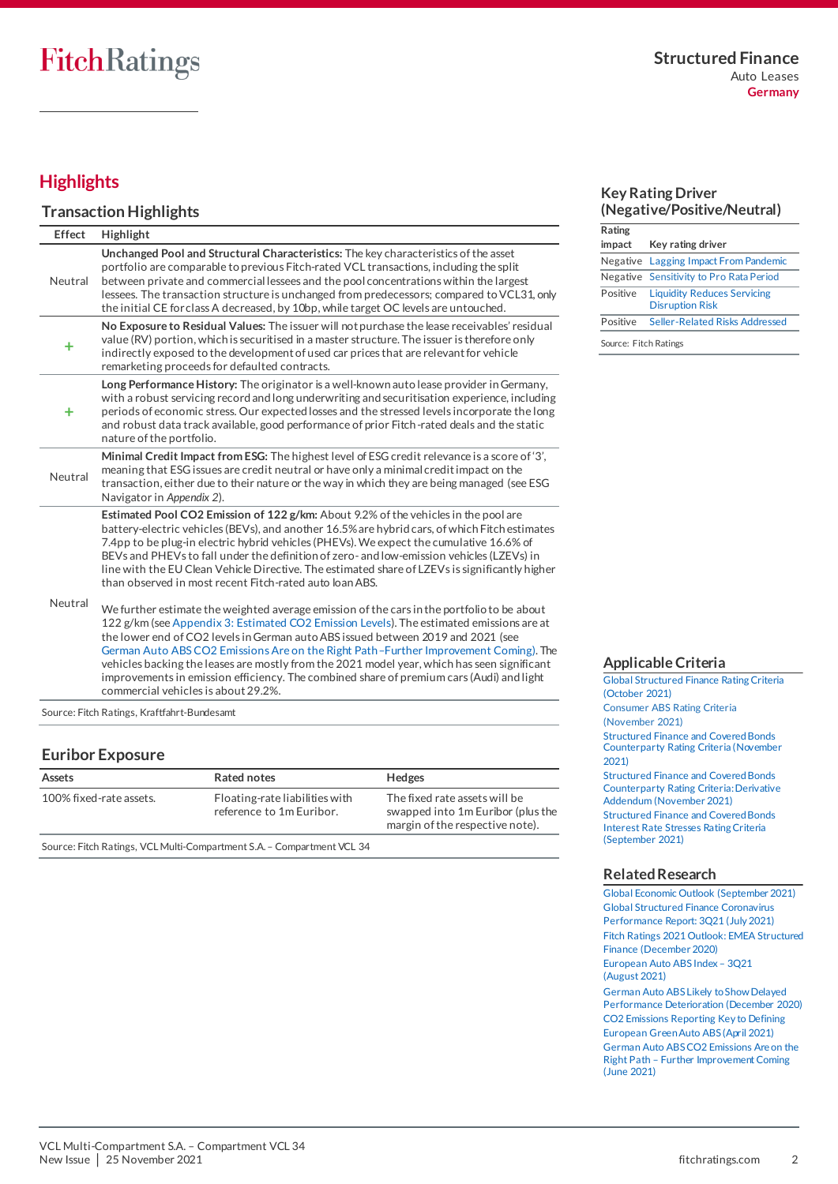# <span id="page-1-0"></span>**Highlights**

# **Transaction Highlights**

| Effect  | Highlight                                                                                                                                                                                                                                                                                                                                                                                                                                                                                                                                                                                                                               |
|---------|-----------------------------------------------------------------------------------------------------------------------------------------------------------------------------------------------------------------------------------------------------------------------------------------------------------------------------------------------------------------------------------------------------------------------------------------------------------------------------------------------------------------------------------------------------------------------------------------------------------------------------------------|
| Neutral | Unchanged Pool and Structural Characteristics: The key characteristics of the asset<br>portfolio are comparable to previous Fitch-rated VCL transactions, including the split<br>between private and commercial lessees and the pool concentrations within the largest<br>lessees. The transaction structure is unchanged from predecessors; compared to VCL31, only<br>the initial CE for class A decreased, by 10bp, while target OC levels are untouched.                                                                                                                                                                            |
| ٠       | No Exposure to Residual Values: The issuer will not purchase the lease receivables' residual<br>value (RV) portion, which is securitised in a master structure. The issuer is therefore only<br>indirectly exposed to the development of used car prices that are relevant for vehicle<br>remarketing proceeds for defaulted contracts.                                                                                                                                                                                                                                                                                                 |
| ÷       | Long Performance History: The originator is a well-known auto lease provider in Germany,<br>with a robust servicing record and long underwriting and securitisation experience, including<br>periods of economic stress. Our expected losses and the stressed levels incorporate the long<br>and robust data track available, good performance of prior Fitch-rated deals and the static<br>nature of the portfolio.                                                                                                                                                                                                                    |
| Neutral | Minimal Credit Impact from ESG: The highest level of ESG credit relevance is a score of '3'.<br>meaning that ESG issues are credit neutral or have only a minimal credit impact on the<br>transaction, either due to their nature or the way in which they are being managed (see ESG<br>Navigator in Appendix 2).                                                                                                                                                                                                                                                                                                                      |
| Neutral | Estimated Pool CO2 Emission of 122 g/km: About 9.2% of the vehicles in the pool are<br>battery-electric vehicles (BEVs), and another 16.5% are hybrid cars, of which Fitch estimates<br>7.4pp to be plug-in electric hybrid vehicles (PHEVs). We expect the cumulative 16.6% of<br>BEVs and PHEVs to fall under the definition of zero- and low-emission vehicles (LZEVs) in<br>line with the EU Clean Vehicle Directive. The estimated share of LZEVs is significantly higher<br>than observed in most recent Fitch-rated auto loan ABS.<br>We further estimate the weighted average emission of the cars in the portfolio to be about |
|         | 122 g/km (see Appendix 3: Estimated CO2 Emission Levels). The estimated emissions are at<br>the lower end of CO2 levels in German auto ABS issued between 2019 and 2021 (see<br>German Auto ABS CO2 Emissions Are on the Right Path-Further Improvement Coming). The<br>vehicles backing the leases are mostly from the 2021 model year, which has seen significant<br>improvements in emission efficiency. The combined share of premium cars (Audi) and light<br>commercial vehicles is about 29.2%.                                                                                                                                  |

Source: Fitch Ratings, Kraftfahrt-Bundesamt

# **Euribor Exposure**

| Assets                  | Rated notes                                                | <b>Hedges</b>                                                                                         |
|-------------------------|------------------------------------------------------------|-------------------------------------------------------------------------------------------------------|
| 100% fixed-rate assets. | Floating-rate liabilities with<br>reference to 1m Euribor. | The fixed rate assets will be<br>swapped into 1m Euribor (plus the<br>margin of the respective note). |

Source: Fitch Ratings, VCL Multi-Compartment S.A. – Compartment VCL 34

# **Key Rating Driver (Negative/Positive/Neutral)**

| Rating                |                                                              |
|-----------------------|--------------------------------------------------------------|
| impact                | Key rating driver                                            |
|                       | Negative Lagging Impact From Pandemic                        |
|                       | Negative Sensitivity to Pro Rata Period                      |
| Positive              | <b>Liquidity Reduces Servicing</b><br><b>Disruption Risk</b> |
| Positive              | Seller-Related Risks Addressed                               |
| Source: Fitch Ratings |                                                              |

**Applicable Criteria**

[Global Structured Finance Rating Criteria](https://app.fitchconnect.com/search/research/article/FR_RPT_10181107)  [\(October 2021\)](https://app.fitchconnect.com/search/research/article/FR_RPT_10181107) [Consumer ABS Rating Criteria](https://app.fitchconnect.com/search/research/article/FR_RPT_10182449)  [\(November 2021\)](https://app.fitchconnect.com/search/research/article/FR_RPT_10182449) [Structured Finance and Covered Bonds](https://app.fitchconnect.com/search/research/article/FR_RPT_10182189)  [Counterparty Rating Criteria \(November](https://app.fitchconnect.com/search/research/article/FR_RPT_10182189)  [2021\)](https://app.fitchconnect.com/search/research/article/FR_RPT_10182189) [Structured Finance and Covered Bonds](https://app.fitchconnect.com/search/research/article/FR_RPT_10182218)  [Counterparty Rating Criteria: Derivative](https://app.fitchconnect.com/search/research/article/FR_RPT_10182218)  [Addendum \(November 2021\)](https://app.fitchconnect.com/search/research/article/FR_RPT_10182218)  [Structured Finance and Covered Bonds](https://app.fitchconnect.com/search/research/article/FR_RPT_10177362)  [Interest Rate Stresses Rating Criteria](https://app.fitchconnect.com/search/research/article/FR_RPT_10177362) [\(September 2021\)](https://app.fitchconnect.com/search/research/article/FR_RPT_10177362)

# **Related Research**

[Global Economic Outlook](https://app.fitchconnect.com/search/research/article/RPT_10176996) (September 2021) [Global Structured Finance Coronavirus](https://app.fitchconnect.com/search/research/article/RPT_10170861)  [Performance](https://app.fitchconnect.com/search/research/article/RPT_10170861) Report: 3Q21 (July 2021) [Fitch Ratings 2021 Outlook: EMEA Structured](https://app.fitchconnect.com/search/research/article/RPT_10144357)  [Finance \(December 2020\)](https://app.fitchconnect.com/search/research/article/RPT_10144357) [European Auto ABS](https://app.fitchconnect.com/search/research/article/RPT_10174036) Index – 3Q21 [\(August 2021\)](https://app.fitchconnect.com/search/research/article/RPT_10174036) [German Auto ABS Likely to Show Delayed](https://app.fitchconnect.com/search/research/article/PR_10146030) 

[Performance Deterioration \(December](https://app.fitchconnect.com/search/research/article/PR_10146030) 2020) [CO2 Emissions Reporting Key to Defining](https://app.fitchconnect.com/search/research/article/FR_PR_10158348)  [European Green Auto ABS \(April 2021\)](https://app.fitchconnect.com/search/research/article/FR_PR_10158348) [German Auto ABS CO2 Emissions Are on the](https://app.fitchconnect.com/search/research/article/RPT_10163637)  Right Path – [Further Improvement Coming](https://app.fitchconnect.com/search/research/article/RPT_10163637)  [\(June 2021\)](https://app.fitchconnect.com/search/research/article/RPT_10163637)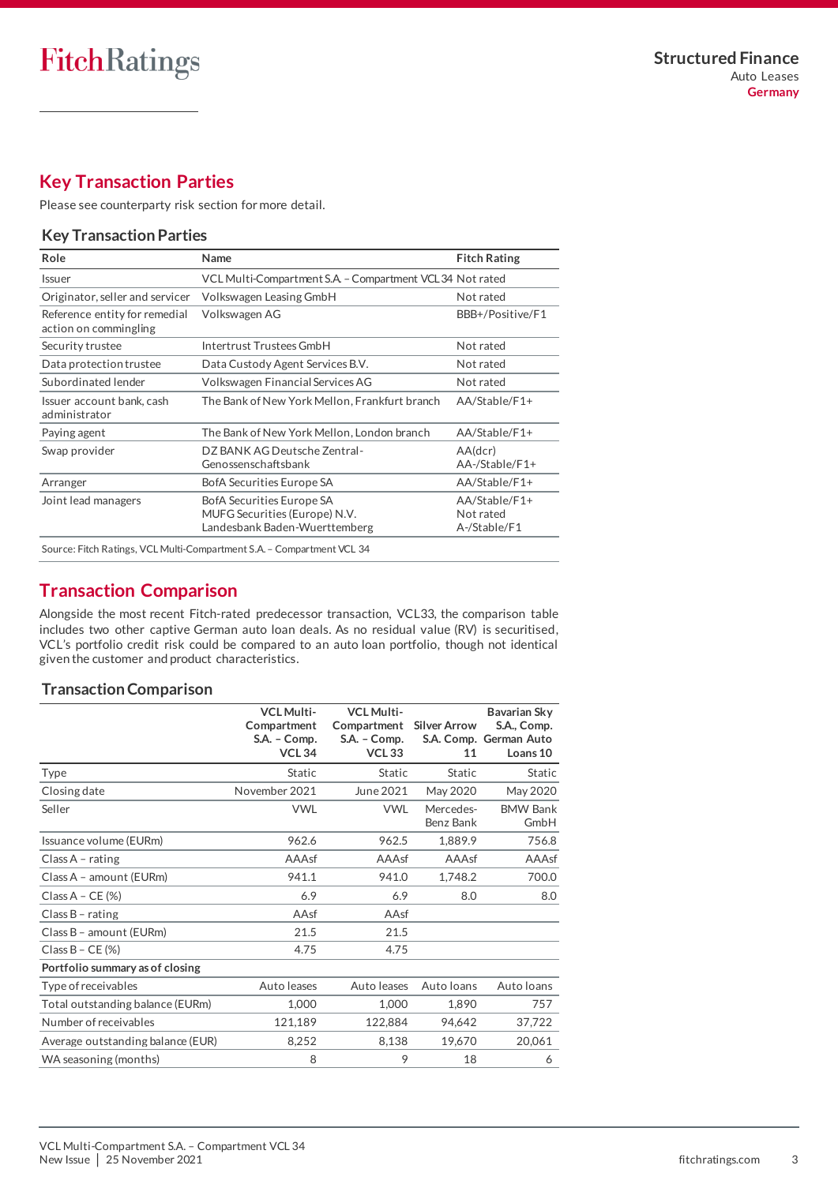# <span id="page-2-0"></span>**Key Transaction Parties**

Please se[e counterparty risk section](#page-11-0) for more detail.

# **Key Transaction Parties**

| Name                                                                                        | <b>Fitch Rating</b>                        |
|---------------------------------------------------------------------------------------------|--------------------------------------------|
| VCL Multi-Compartment S.A. - Compartment VCL 34 Not rated                                   |                                            |
| Volkswagen Leasing GmbH                                                                     | Not rated                                  |
| Volkswagen AG                                                                               | BBB+/Positive/F1                           |
| Intertrust Trustees GmbH                                                                    | Not rated                                  |
| Data Custody Agent Services B.V.                                                            | Not rated                                  |
| Volkswagen Financial Services AG                                                            | Not rated                                  |
| The Bank of New York Mellon, Frankfurt branch                                               | AA/Stable/F1+                              |
| The Bank of New York Mellon, London branch                                                  | AA/Stable/F1+                              |
| DZ BANK AG Deutsche Zentral-<br>Genossenschaftsbank                                         | AA(dcr)<br>$AA$ -/Stable/F1+               |
| BofA Securities Europe SA                                                                   | AA/Stable/F1+                              |
| BofA Securities Europe SA<br>MUFG Securities (Europe) N.V.<br>Landesbank Baden-Wuerttemberg | AA/Stable/F1+<br>Not rated<br>A-/Stable/F1 |
|                                                                                             |                                            |

# <span id="page-2-2"></span><span id="page-2-1"></span>**Transaction Comparison**

Alongside the most recent Fitch-rated predecessor transaction, VCL33, the comparison table includes two other captive German auto loan deals. As no residual value (RV) is securitised, VCL's portfolio credit risk could be compared to an auto loan portfolio, though not identical given the customer and product characteristics.

# **Transaction Comparison**

|                                   | <b>VCL Multi-</b><br>Compartment<br>S.A. - Comp.<br><b>VCL 34</b> | <b>VCL Multi-</b><br>Compartment<br>S.A. - Comp.<br><b>VCL 33</b> | <b>Silver Arrow</b><br>11 | Bavarian Sky<br>S.A., Comp.<br>S.A. Comp. German Auto<br>Loans 10 |
|-----------------------------------|-------------------------------------------------------------------|-------------------------------------------------------------------|---------------------------|-------------------------------------------------------------------|
| Type                              | Static                                                            | Static                                                            | <b>Static</b>             | <b>Static</b>                                                     |
| Closing date                      | November 2021                                                     | June 2021                                                         | May 2020                  | May 2020                                                          |
| Seller                            | <b>VWL</b>                                                        | <b>VWL</b>                                                        | Mercedes-<br>Benz Bank    | <b>BMW Bank</b><br>GmbH                                           |
| Issuance volume (EURm)            | 962.6                                                             | 962.5                                                             | 1,889.9                   | 756.8                                                             |
| Class $A$ - rating                | AAAsf                                                             | AAAsf                                                             | AAAsf                     | AAAsf                                                             |
| Class A - amount (EURm)           | 941.1                                                             | 941.0                                                             | 1,748.2                   | 700.0                                                             |
| Class $A - CE$ (%)                | 6.9                                                               | 6.9                                                               | 8.0                       | 8.0                                                               |
| Class $B$ - rating                | AAsf                                                              | AAsf                                                              |                           |                                                                   |
| Class B - amount (EURm)           | 21.5                                                              | 21.5                                                              |                           |                                                                   |
| Class $B - CE$ (%)                | 4.75                                                              | 4.75                                                              |                           |                                                                   |
| Portfolio summary as of closing   |                                                                   |                                                                   |                           |                                                                   |
| Type of receivables               | Auto leases                                                       | Auto leases                                                       | Auto Ioans                | Auto Ioans                                                        |
| Total outstanding balance (EURm)  | 1,000                                                             | 1,000                                                             | 1,890                     | 757                                                               |
| Number of receivables             | 121,189                                                           | 122,884                                                           | 94,642                    | 37,722                                                            |
| Average outstanding balance (EUR) | 8,252                                                             | 8,138                                                             | 19,670                    | 20,061                                                            |
| WA seasoning (months)             | 8                                                                 | 9                                                                 | 18                        | 6                                                                 |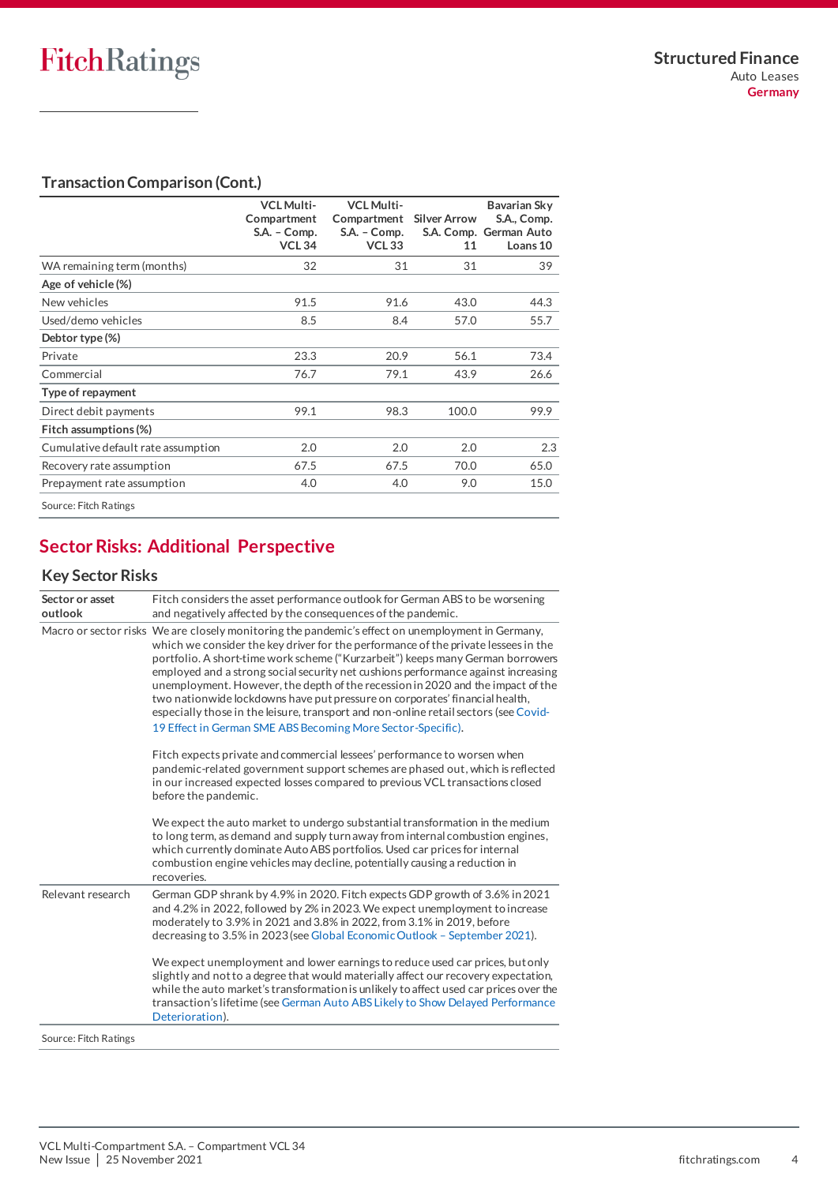# **Transaction Comparison (Cont.)**

|                                    | <b>VCL Multi-</b><br>Compartment<br>S.A. - Comp.<br><b>VCL 34</b> | <b>VCL Multi-</b><br>Compartment<br>$S.A. - Comp.$<br><b>VCL 33</b> | <b>Silver Arrow</b><br>11 | Bavarian Sky<br>S.A., Comp.<br>S.A. Comp. German Auto<br>Loans 10 |
|------------------------------------|-------------------------------------------------------------------|---------------------------------------------------------------------|---------------------------|-------------------------------------------------------------------|
| WA remaining term (months)         | 32                                                                | 31                                                                  | 31                        | 39                                                                |
| Age of vehicle (%)                 |                                                                   |                                                                     |                           |                                                                   |
| New vehicles                       | 91.5                                                              | 91.6                                                                | 43.0                      | 44.3                                                              |
| Used/demo vehicles                 | 8.5                                                               | 8.4                                                                 | 57.0                      | 55.7                                                              |
| Debtor type (%)                    |                                                                   |                                                                     |                           |                                                                   |
| Private                            | 23.3                                                              | 20.9                                                                | 56.1                      | 73.4                                                              |
| Commercial                         | 76.7                                                              | 79.1                                                                | 43.9                      | 26.6                                                              |
| Type of repayment                  |                                                                   |                                                                     |                           |                                                                   |
| Direct debit payments              | 99.1                                                              | 98.3                                                                | 100.0                     | 99.9                                                              |
| Fitch assumptions (%)              |                                                                   |                                                                     |                           |                                                                   |
| Cumulative default rate assumption | 2.0                                                               | 2.0                                                                 | 2.0                       | 2.3                                                               |
| Recovery rate assumption           | 67.5                                                              | 67.5                                                                | 70.0                      | 65.0                                                              |
| Prepayment rate assumption         | 4.0                                                               | 4.0                                                                 | 9.0                       | 15.0                                                              |
| Source: Fitch Ratings              |                                                                   |                                                                     |                           |                                                                   |

# <span id="page-3-0"></span>**Sector Risks: Additional Perspective**

# **Key Sector Risks**

| Sector or asset<br>outlook | Fitch considers the asset performance outlook for German ABS to be worsening<br>and negatively affected by the consequences of the pandemic.                                                                                                                                                                                                                                                                                                                                                                                                                                                                                                                                            |
|----------------------------|-----------------------------------------------------------------------------------------------------------------------------------------------------------------------------------------------------------------------------------------------------------------------------------------------------------------------------------------------------------------------------------------------------------------------------------------------------------------------------------------------------------------------------------------------------------------------------------------------------------------------------------------------------------------------------------------|
|                            | Macro or sector risks We are closely monitoring the pandemic's effect on unemployment in Germany,<br>which we consider the key driver for the performance of the private lessees in the<br>portfolio. A short-time work scheme ("Kurzarbeit") keeps many German borrowers<br>employed and a strong social security net cushions performance against increasing<br>unemployment. However, the depth of the recession in 2020 and the impact of the<br>two nationwide lockdowns have put pressure on corporates' financial health,<br>especially those in the leisure, transport and non-online retail sectors (see Covid-<br>19 Effect in German SME ABS Becoming More Sector-Specific). |
|                            | Fitch expects private and commercial lessees' performance to worsen when<br>pandemic-related government support schemes are phased out, which is reflected<br>in our increased expected losses compared to previous VCL transactions closed<br>before the pandemic.                                                                                                                                                                                                                                                                                                                                                                                                                     |
|                            | We expect the auto market to undergo substantial transformation in the medium<br>to long term, as demand and supply turn away from internal combustion engines,<br>which currently dominate Auto ABS portfolios. Used car prices for internal<br>combustion engine vehicles may decline, potentially causing a reduction in<br>recoveries.                                                                                                                                                                                                                                                                                                                                              |
| Relevant research          | German GDP shrank by 4.9% in 2020. Fitch expects GDP growth of 3.6% in 2021<br>and 4.2% in 2022, followed by 2% in 2023. We expect unemployment to increase<br>moderately to 3.9% in 2021 and 3.8% in 2022, from 3.1% in 2019, before<br>decreasing to 3.5% in 2023 (see Global Economic Outlook - September 2021).                                                                                                                                                                                                                                                                                                                                                                     |
|                            | We expect unemployment and lower earnings to reduce used car prices, but only<br>slightly and not to a degree that would materially affect our recovery expectation,<br>while the auto market's transformation is unlikely to affect used car prices over the<br>transaction's lifetime (see German Auto ABS Likely to Show Delayed Performance<br>Deterioration).                                                                                                                                                                                                                                                                                                                      |
| Source: Fitch Ratings      |                                                                                                                                                                                                                                                                                                                                                                                                                                                                                                                                                                                                                                                                                         |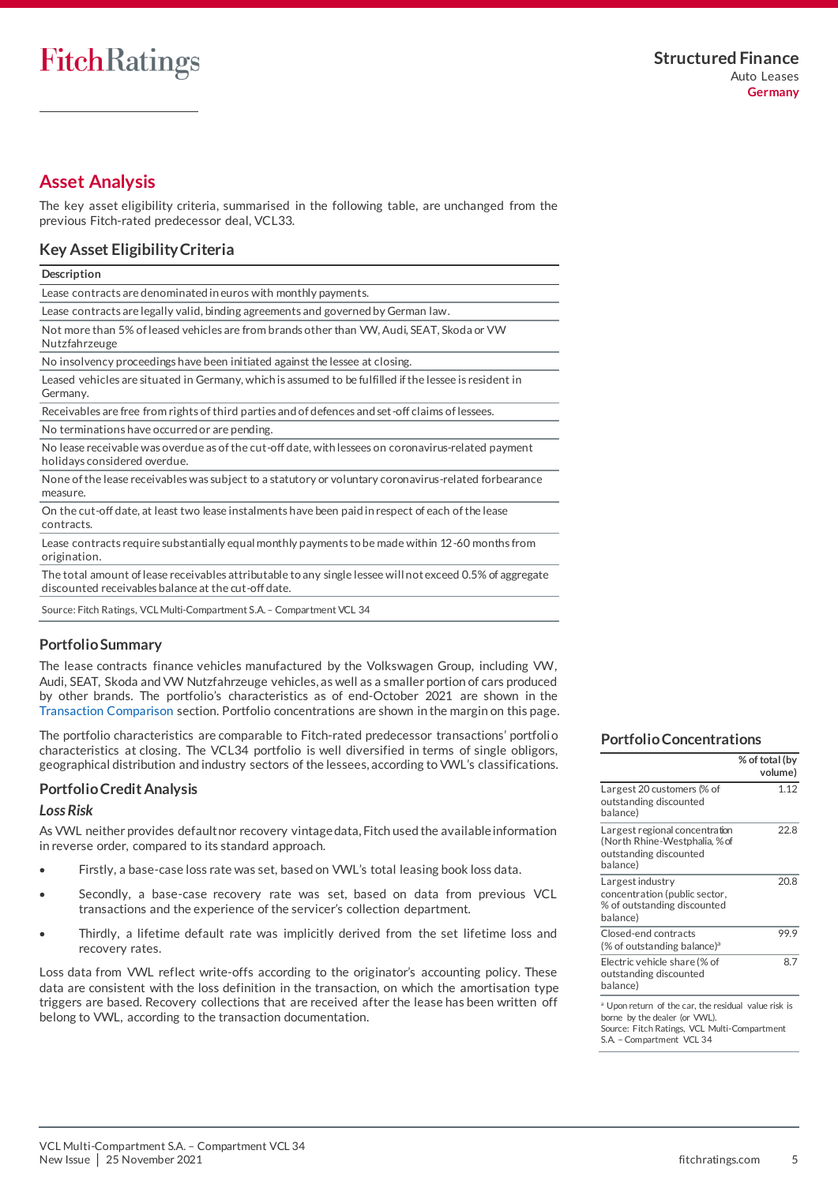# <span id="page-4-0"></span>**Asset Analysis**

The key asset eligibility criteria, summarised in the following table, are unchanged from the previous Fitch-rated predecessor deal, VCL33.

# **Key Asset Eligibility Criteria**

| Description |  |
|-------------|--|

Lease contracts are denominated in euros with monthly payments.

Lease contracts are legally valid, binding agreements and governed by German law.

Not more than 5% of leased vehicles are from brands other than VW, Audi, SEAT, Skoda or VW Nutzfahrzeuge

No insolvency proceedings have been initiated against the lessee at closing.

Leased vehicles are situated in Germany, which is assumed to be fulfilled if the lessee is resident in Germany.

Receivables are free from rights of third parties and of defences and set-off claims of lessees.

No terminations have occurred or are pending. No lease receivable was overdue as of the cut-off date, with lessees on coronavirus-related payment

holidays considered overdue.

None of the lease receivables was subject to a statutory or voluntary coronavirus-related forbearance measure.

On the cut-off date, at least two lease instalments have been paid in respect of each of the lease contracts.

Lease contracts require substantially equal monthly payments to be made within 12-60 months from origination.

The total amount of lease receivables attributable to any single lessee will not exceed 0.5% of aggregate discounted receivables balance at the cut-off date.

Source: Fitch Ratings, VCL Multi-Compartment S.A. – Compartment VCL 34

# **Portfolio Summary**

The lease contracts finance vehicles manufactured by the Volkswagen Group, including VW, Audi, SEAT, Skoda and VW Nutzfahrzeuge vehicles, as well as a smaller portion of cars produced by other brands. The portfolio's characteristics as of end-October 2021 are shown in the [Transaction Comparison](#page-2-2) section. Portfolio concentrations are shown in the margin on this page.

The portfolio characteristics are comparable to Fitch-rated predecessor transactions' portfoli o characteristics at closing. The VCL34 portfolio is well diversified in terms of single obligors, geographical distribution and industry sectors of the lessees, according to VWL's classifications.

# <span id="page-4-1"></span>**Portfolio Credit Analysis**

# *Loss Risk*

As VWL neither provides default nor recovery vintage data, Fitch used the available information in reverse order, compared to its standard approach.

- Firstly, a base-case loss rate was set, based on VWL's total leasing book loss data.
- Secondly, a base-case recovery rate was set, based on data from previous VCL transactions and the experience of the servicer's collection department.
- Thirdly, a lifetime default rate was implicitly derived from the set lifetime loss and recovery rates.

Loss data from VWL reflect write-offs according to the originator's accounting policy. These data are consistent with the loss definition in the transaction, on which the amortisation type triggers are based. Recovery collections that are received after the lease has been written off belong to VWL, according to the transaction documentation.

#### **Portfolio Concentrations**

|                                                                                                                                                                               | % of total (by<br>volume) |
|-------------------------------------------------------------------------------------------------------------------------------------------------------------------------------|---------------------------|
| Largest 20 customers (% of<br>outstanding discounted<br>balance)                                                                                                              | 1.12                      |
| Largest regional concentration<br>(North Rhine-Westphalia, % of<br>outstanding discounted<br>balance)                                                                         | 22.8                      |
| Largest industry<br>concentration (public sector,<br>% of outstanding discounted<br>balance)                                                                                  | 20.8                      |
| Closed-end contracts<br>$%$ of outstanding balance) <sup>a</sup>                                                                                                              | 99.9                      |
| Electric vehicle share (% of<br>outstanding discounted<br>balance)                                                                                                            | 8.7                       |
| <sup>a</sup> Upon return of the car, the residual value risk is<br>borne by the dealer (or VWL).<br>Source: Fitch Ratings, VCL Multi-Compartment<br>S.A. - Compartment VCL 34 |                           |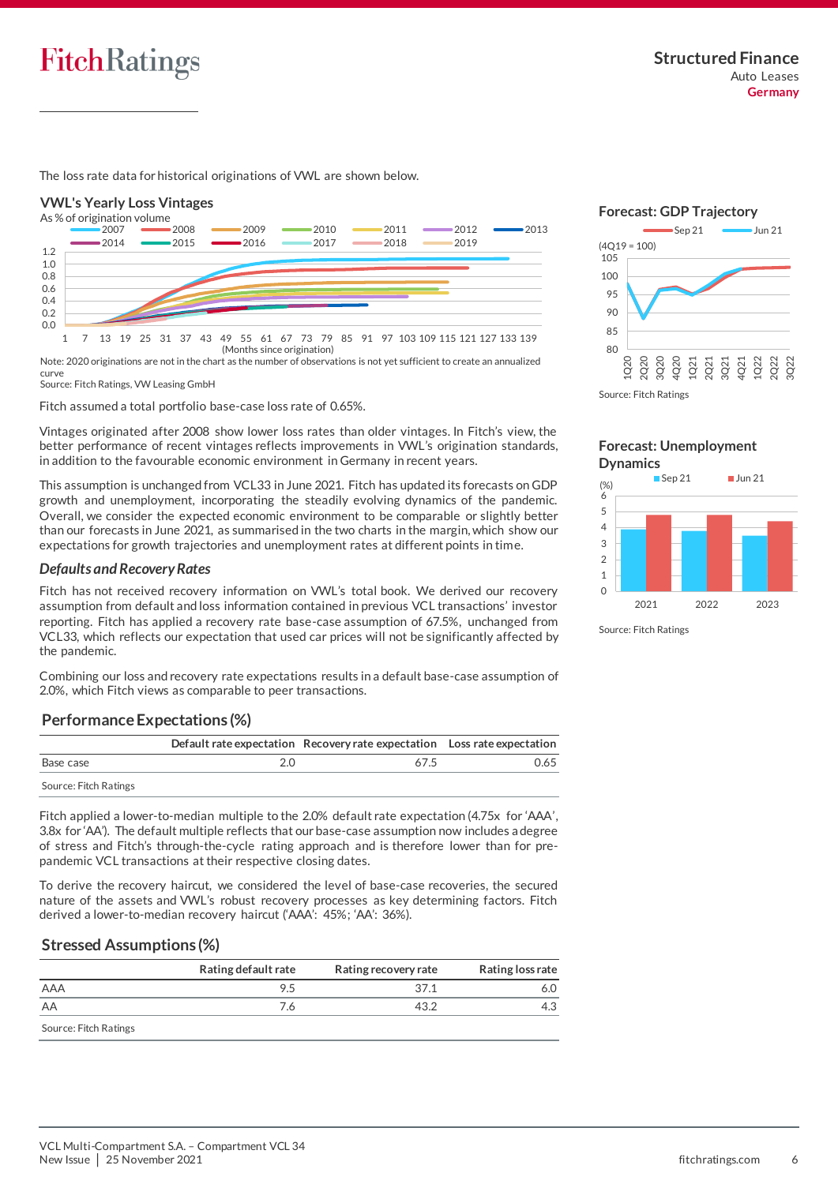

The loss rate data for historical originations of VWL are shown below.

# **VWL's Yearly Loss Vintages**



Note: 2020 originations are not in the chart as the number of observations is not yet sufficient to create an annualized curve

Source: Fitch Ratings, VW Leasing GmbH

Fitch assumed a total portfolio base-case loss rate of 0.65%.

Vintages originated after 2008 show lower loss rates than older vintages. In Fitch's view, the better performance of recent vintages reflects improvements in VWL's origination standards, in addition to the favourable economic environment in Germany in recent years.

This assumption is unchanged from VCL33 in June 2021. Fitch has updated its forecasts on GDP growth and unemployment, incorporating the steadily evolving dynamics of the pandemic. Overall, we consider the expected economic environment to be comparable or slightly better than our forecasts in June 2021, as summarised in the two charts in the margin, which show our expectations for growth trajectories and unemployment rates at different points in time.

#### *Defaults and Recovery Rates*

Fitch has not received recovery information on VWL's total book. We derived our recovery assumption from default and loss information contained in previous VCL transactions' investor reporting. Fitch has applied a recovery rate base-case assumption of 67.5%, unchanged from VCL33, which reflects our expectation that used car prices will not be significantly affected by the pandemic.

Combining our loss and recovery rate expectations results in a default base-case assumption of 2.0%, which Fitch views as comparable to peer transactions.

# **Performance Expectations (%)**

|                       | Default rate expectation Recovery rate expectation Loss rate expectation |      |
|-----------------------|--------------------------------------------------------------------------|------|
| Base case             | 67.5                                                                     | 0.65 |
| Source: Fitch Ratings |                                                                          |      |

Fitch applied a lower-to-median multiple to the 2.0% default rate expectation (4.75x for 'AAA', 3.8x for 'AA'). The default multiple reflects that our base-case assumption now includes a degree of stress and Fitch's through-the-cycle rating approach and is therefore lower than for prepandemic VCL transactions at their respective closing dates.

To derive the recovery haircut, we considered the level of base-case recoveries, the secured nature of the assets and VWL's robust recovery processes as key determining factors. Fitch derived a lower-to-median recovery haircut ('AAA': 45%; 'AA': 36%).

# **Stressed Assumptions (%)**

|                       | Rating default rate | Rating recovery rate | Rating loss rate |
|-----------------------|---------------------|----------------------|------------------|
| AAA                   | 9.5                 | 371                  |                  |
| AA                    | 6./                 | 43.2                 |                  |
| Source: Fitch Ratings |                     |                      |                  |





**Forecast: Unemployment Dynamics**



Source: Fitch Ratings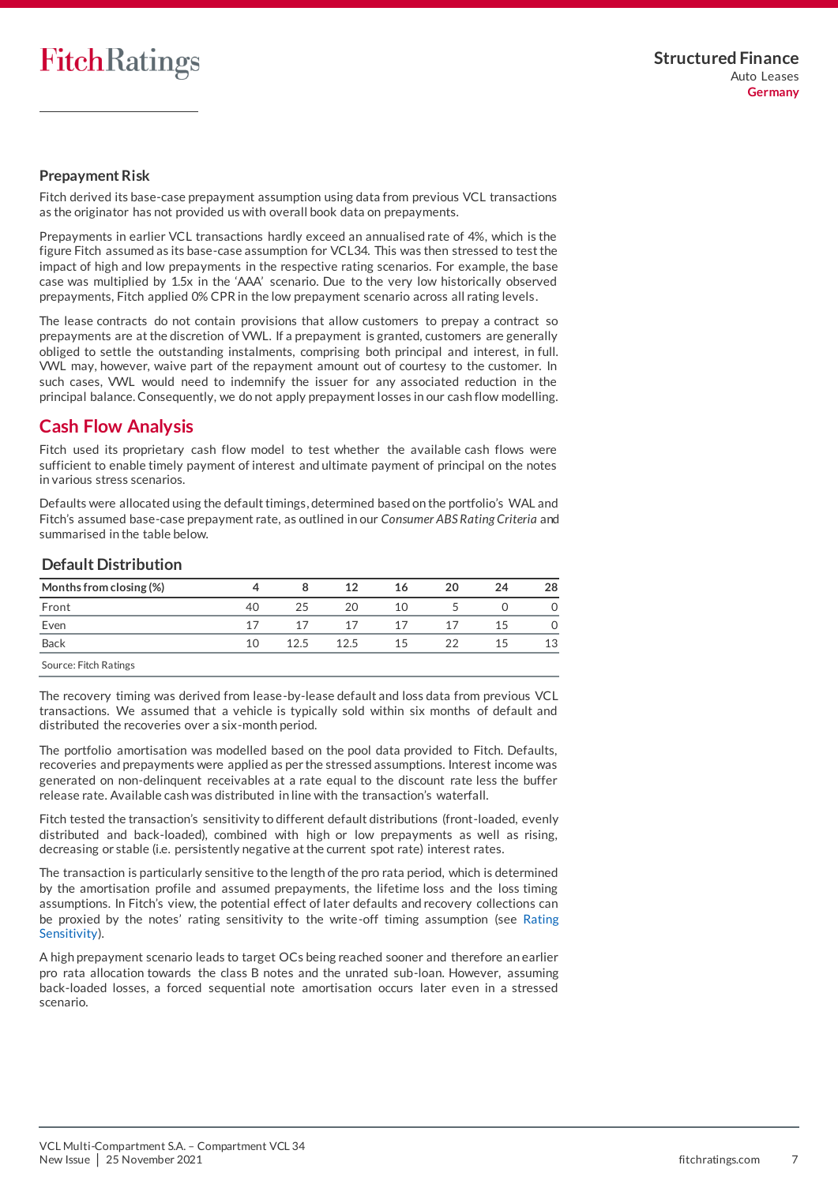# **Prepayment Risk**

Fitch derived its base-case prepayment assumption using data from previous VCL transactions as the originator has not provided us with overall book data on prepayments.

Prepayments in earlier VCL transactions hardly exceed an annualised rate of 4%, which is the figure Fitch assumed as its base-case assumption for VCL34. This was then stressed to test the impact of high and low prepayments in the respective rating scenarios. For example, the base case was multiplied by 1.5x in the 'AAA' scenario. Due to the very low historically observed prepayments, Fitch applied 0% CPR in the low prepayment scenario across all rating levels.

The lease contracts do not contain provisions that allow customers to prepay a contract so prepayments are at the discretion of VWL. If a prepayment is granted, customers are generally obliged to settle the outstanding instalments, comprising both principal and interest, in full. VWL may, however, waive part of the repayment amount out of courtesy to the customer. In such cases, VWL would need to indemnify the issuer for any associated reduction in the principal balance. Consequently, we do not apply prepayment losses in our cash flow modelling.

# <span id="page-6-0"></span>**Cash Flow Analysis**

Fitch used its proprietary cash flow model to test whether the available cash flows were sufficient to enable timely payment of interest and ultimate payment of principal on the notes in various stress scenarios.

Defaults were allocated using the default timings, determined based on the portfolio's WAL and Fitch's assumed base-case prepayment rate, as outlined in our *Consumer ABS Rating Criteria* and summarised in the table below.

# **Default Distribution**

| Months from closing (%) |    |      | 12   | 16 | 20 | 24 | 28 |
|-------------------------|----|------|------|----|----|----|----|
| Front                   | 40 | 25   | 20   | 10 |    |    |    |
| Even                    | 17 | 17   | 17   | 17 | 17 | 15 |    |
| <b>Back</b>             | 10 | 12.5 | 12.5 | 15 | 22 | 15 | 13 |
| Source: Eitch Ratings   |    |      |      |    |    |    |    |

Source: Fitch Ratings

The recovery timing was derived from lease-by-lease default and loss data from previous VCL transactions. We assumed that a vehicle is typically sold within six months of default and distributed the recoveries over a six-month period.

The portfolio amortisation was modelled based on the pool data provided to Fitch. Defaults, recoveries and prepayments were applied as per the stressed assumptions. Interest income was generated on non-delinquent receivables at a rate equal to the discount rate less the buffer release rate. Available cash was distributed in line with the transaction's waterfall.

Fitch tested the transaction's sensitivity to different default distributions (front-loaded, evenly distributed and back-loaded), combined with high or low prepayments as well as rising, decreasing or stable (i.e. persistently negative at the current spot rate) interest rates.

The transaction is particularly sensitive to the length of the pro rata period, which is determined by the amortisation profile and assumed prepayments, the lifetime loss and the loss timing assumptions. In Fitch's view, the potential effect of later defaults and recovery collections can be proxied by the notes' rating sensitivity to the write-off timing assumption (see [Rating](#page-7-0)  [Sensitivity\)](#page-7-0).

A high prepayment scenario leads to target OCs being reached sooner and therefore an earlier pro rata allocation towards the class B notes and the unrated sub-loan. However, assuming back-loaded losses, a forced sequential note amortisation occurs later even in a stressed scenario.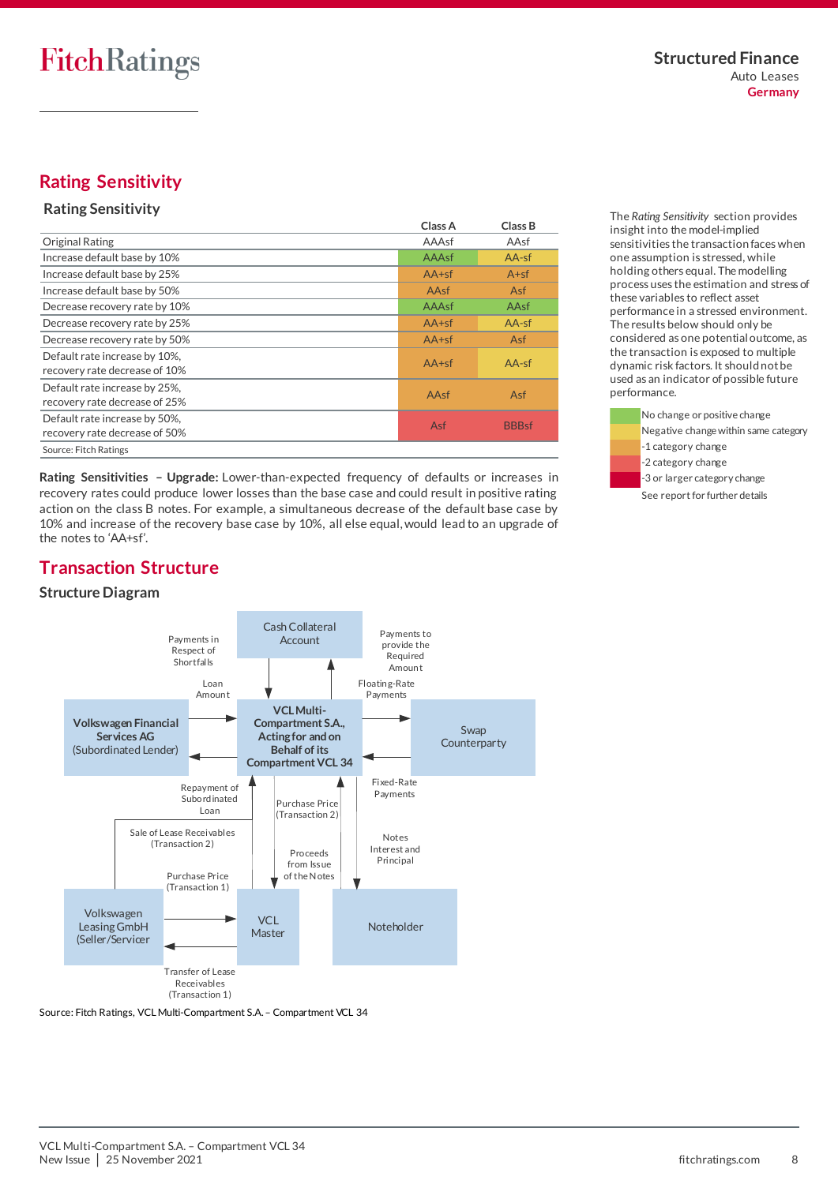# <span id="page-7-0"></span>**Rating Sensitivity**

# **Rating Sensitivity**

|                                                                | Class A | Class B      |
|----------------------------------------------------------------|---------|--------------|
| <b>Original Rating</b>                                         | AAAsf   | AAsf         |
| Increase default base by 10%                                   | AAAsf   | $AA-sf$      |
| Increase default base by 25%                                   | $AA+sf$ | $A + sf$     |
| Increase default base by 50%                                   | AAsf    | Asf          |
| Decrease recovery rate by 10%                                  | AAAsf   | AAsf         |
| Decrease recovery rate by 25%                                  | $AA+sf$ | $AA-sf$      |
| Decrease recovery rate by 50%                                  | $AA+sf$ | <b>Asf</b>   |
| Default rate increase by 10%,<br>recovery rate decrease of 10% | $AA+sf$ | $AA-sf$      |
| Default rate increase by 25%,<br>recovery rate decrease of 25% | AAsf    | Asf          |
| Default rate increase by 50%,<br>recovery rate decrease of 50% | Asf     | <b>BBBsf</b> |
| Source: Fitch Ratings                                          |         |              |

**Rating Sensitivities – Upgrade:** Lower-than-expected frequency of defaults or increases in recovery rates could produce lower losses than the base case and could result in positive rating action on the class B notes. For example, a simultaneous decrease of the default base case by 10% and increase of the recovery base case by 10%, all else equal, would lead to an upgrade of the notes to 'AA+sf'.

The *Rating Sensitivity* section provides insight into the model-implied sensitivities the transaction faces when one assumption is stressed, while holding others equal. The modelling process uses the estimation and stress of these variables to reflect asset performance in a stressed environment. The results below should only be considered as one potential outcome, as the transaction is exposed to multiple dynamic risk factors. It should not be used as an indicator of possible future performance.



# <span id="page-7-1"></span>**Transaction Structure**

# **Structure Diagram**

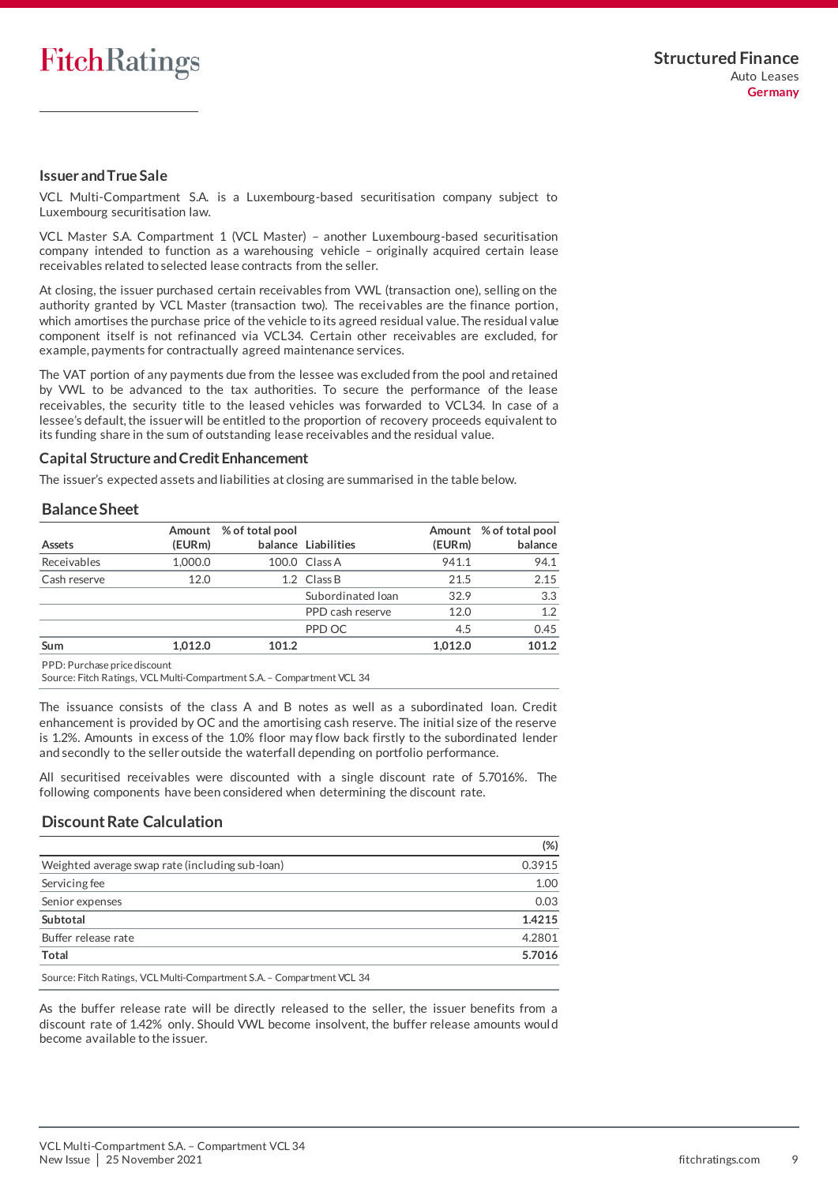

# **Issuer and True Sale**

VCL Multi-Compartment S.A. is a Luxembourg-based securitisation company subject to Luxembourg securitisation law.

VCL Master S.A. Compartment 1 (VCL Master) – another Luxembourg-based securitisation company intended to function as a warehousing vehicle – originally acquired certain lease receivables related to selected lease contracts from the seller.

At closing, the issuer purchased certain receivables from VWL (transaction one), selling on the authority granted by VCL Master (transaction two). The receivables are the finance portion, which amortises the purchase price of the vehicle to its agreed residual value. The residual value component itself is not refinanced via VCL34. Certain other receivables are excluded, for example, payments for contractually agreed maintenance services.

The VAT portion of any payments due from the lessee was excluded from the pool and retained by VWL to be advanced to the tax authorities. To secure the performance of the lease receivables, the security title to the leased vehicles was forwarded to VCL34. In case of a lessee's default, the issuer will be entitled to the proportion of recovery proceeds equivalent to its funding share in the sum of outstanding lease receivables and the residual value.

#### **Capital Structure and Credit Enhancement**

The issuer's expected assets and liabilities at closing are summarised in the table below.

#### **Balance Sheet**

| Assets       | (EURm)  | Amount % of total pool | balance Liabilities | (EURm)  | Amount % of total pool<br>balance |
|--------------|---------|------------------------|---------------------|---------|-----------------------------------|
| Receivables  | 1,000.0 |                        | 100.0 Class A       | 941.1   | 94.1                              |
| Cash reserve | 12.0    |                        | 1.2 Class B         | 21.5    | 2.15                              |
|              |         |                        | Subordinated Ioan   | 32.9    | 3.3                               |
|              |         |                        | PPD cash reserve    | 12.0    | 1.2                               |
|              |         |                        | PPD OC              | 4.5     | 0.45                              |
| Sum          | 1.012.0 | 101.2                  |                     | 1.012.0 | 101.2                             |

PPD: Purchase price discount

Source: Fitch Ratings, VCL Multi-Compartment S.A. – Compartment VCL 34

The issuance consists of the class A and B notes as well as a subordinated loan. Credit enhancement is provided by OC and the amortising cash reserve. The initial size of the reserve is 1.2%. Amounts in excess of the 1.0% floor may flow back firstly to the subordinated lender and secondly to the seller outside the waterfall depending on portfolio performance.

All securitised receivables were discounted with a single discount rate of 5.7016%. The following components have been considered when determining the discount rate.

# **Discount Rate Calculation**

|                                                                                                                                                                                                                                                           | $(\%)$ |
|-----------------------------------------------------------------------------------------------------------------------------------------------------------------------------------------------------------------------------------------------------------|--------|
| Weighted average swap rate (including sub-loan)                                                                                                                                                                                                           | 0.3915 |
| Servicing fee                                                                                                                                                                                                                                             | 1.00   |
| Senior expenses                                                                                                                                                                                                                                           | 0.03   |
| Subtotal                                                                                                                                                                                                                                                  | 1.4215 |
| Buffer release rate                                                                                                                                                                                                                                       | 4.2801 |
| <b>Total</b>                                                                                                                                                                                                                                              | 5.7016 |
| $\mathbb{R}^n$ is the state of the state of the state of the state of the state of the state of the state of the state of the state of the state of the state of the state of the state of the state of the state of the state of<br>$\sim$ $\sim$ $\sim$ |        |

Source: Fitch Ratings, VCL Multi-Compartment S.A. – Compartment VCL 34

As the buffer release rate will be directly released to the seller, the issuer benefits from a discount rate of 1.42% only. Should VWL become insolvent, the buffer release amounts woul d become available to the issuer.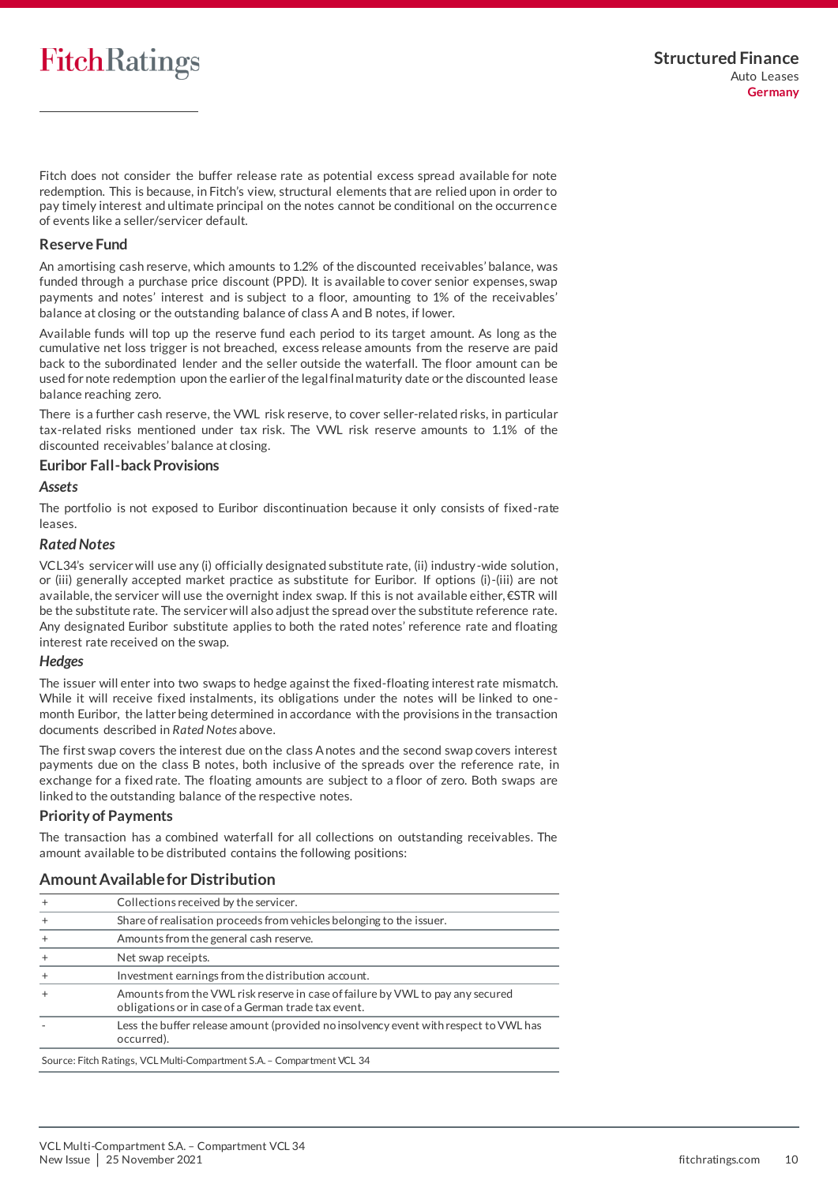# **FitchRatings**

Fitch does not consider the buffer release rate as potential excess spread available for note redemption. This is because, in Fitch's view, structural elements that are relied upon in order to pay timely interest and ultimate principal on the notes cannot be conditional on the occurrence of events like a seller/servicer default.

# **Reserve Fund**

An amortising cash reserve, which amounts to 1.2% of the discounted receivables' balance, was funded through a purchase price discount (PPD). It is available to cover senior expenses, swap payments and notes' interest and is subject to a floor, amounting to 1% of the receivables' balance at closing or the outstanding balance of class A and B notes, if lower.

Available funds will top up the reserve fund each period to its target amount. As long as the cumulative net loss trigger is not breached, excess release amounts from the reserve are paid back to the subordinated lender and the seller outside the waterfall. The floor amount can be used for note redemption upon the earlier of the legal final maturity date or the discounted lease balance reaching zero.

There is a further cash reserve, the VWL risk reserve, to cover seller-related risks, in particular tax-related risks mentioned under tax risk. The VWL risk reserve amounts to 1.1% of the discounted receivables' balance at closing.

# **Euribor Fall-back Provisions**

# *Assets*

The portfolio is not exposed to Euribor discontinuation because it only consists of fixed-rate leases.

# *Rated Notes*

VCL34's servicer will use any (i) officially designated substitute rate, (ii) industry-wide solution, or (iii) generally accepted market practice as substitute for Euribor. If options (i)-(iii) are not available, the servicer will use the overnight index swap. If this is not available either, €STR will be the substitute rate. The servicer will also adjust the spread over the substitute reference rate. Any designated Euribor substitute applies to both the rated notes' reference rate and floating interest rate received on the swap.

# *Hedges*

The issuer will enter into two swaps to hedge against the fixed-floating interest rate mismatch. While it will receive fixed instalments, its obligations under the notes will be linked to onemonth Euribor, the latter being determined in accordance with the provisions in the transaction documents described in *Rated Notes* above.

The first swap covers the interest due on the class A notes and the second swap covers interest payments due on the class B notes, both inclusive of the spreads over the reference rate, in exchange for a fixed rate. The floating amounts are subject to a floor of zero. Both swaps are linked to the outstanding balance of the respective notes.

# **Priority of Payments**

The transaction has a combined waterfall for all collections on outstanding receivables. The amount available to be distributed contains the following positions:

| $\ddot{}$ | Collections received by the servicer.                                                                                                 |
|-----------|---------------------------------------------------------------------------------------------------------------------------------------|
| $\ddot{}$ | Share of realisation proceeds from vehicles belonging to the issuer.                                                                  |
|           | Amounts from the general cash reserve.                                                                                                |
|           | Net swap receipts.                                                                                                                    |
|           | Investment earnings from the distribution account.                                                                                    |
|           | Amounts from the VWL risk reserve in case of failure by VWL to pay any secured<br>obligations or in case of a German trade tax event. |
|           | Less the buffer release amount (provided no insolvency event with respect to VWL has<br>occurred).                                    |
|           | Source: Fitch Ratings, VCL Multi-Compartment S.A. - Compartment VCL 34                                                                |

# **Amount Available for Distribution**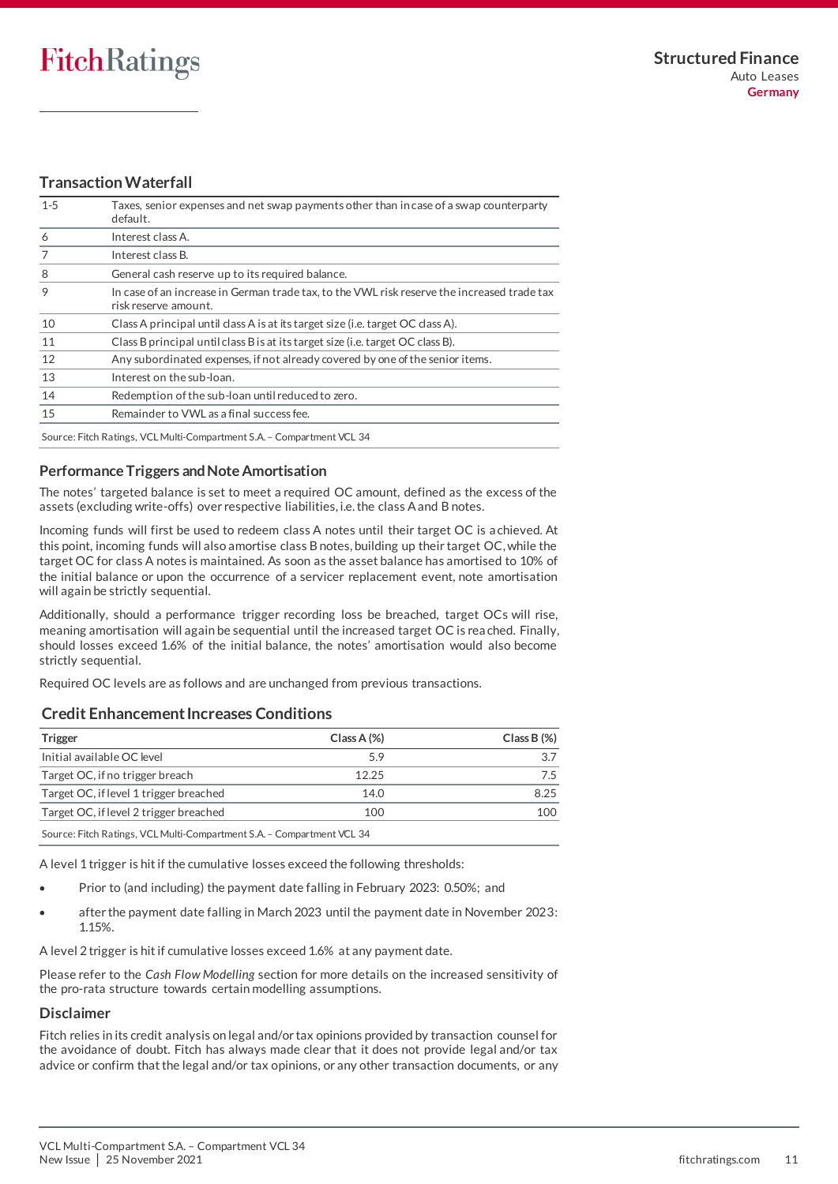# **Transaction Waterfall**

| $1 - 5$                                               | Taxes, senior expenses and net swap payments other than in case of a swap counterparty<br>default.                  |
|-------------------------------------------------------|---------------------------------------------------------------------------------------------------------------------|
| 6                                                     | Interest class A.                                                                                                   |
|                                                       | Interest class B.                                                                                                   |
| 8<br>General cash reserve up to its required balance. |                                                                                                                     |
| 9                                                     | In case of an increase in German trade tax, to the VWL risk reserve the increased trade tax<br>risk reserve amount. |
| 10                                                    | Class A principal until class A is at its target size (i.e. target OC class A).                                     |
| 11                                                    | Class B principal until class B is at its target size (i.e. target OC class B).                                     |
| 12                                                    | Any subordinated expenses, if not already covered by one of the senior items.                                       |
| 13                                                    | Interest on the sub-loan.                                                                                           |
| 14                                                    | Redemption of the sub-loan until reduced to zero.                                                                   |
| 15<br>Remainder to VWL as a final success fee.        |                                                                                                                     |
|                                                       | Source: Fitch Ratings, VCL Multi-Compartment S.A. - Compartment VCL 34                                              |

# **Performance Triggers and Note Amortisation**

The notes' targeted balance is set to meet a required OC amount, defined as the excess of the assets (excluding write-offs) over respective liabilities, i.e. the class A and B notes.

Incoming funds will first be used to redeem class A notes until their target OC is a chieved. At this point, incoming funds will also amortise class B notes, building up their target OC, while the target OC for class A notes is maintained. As soon as the asset balance has amortised to 10% of the initial balance or upon the occurrence of a servicer replacement event, note amortisation will again be strictly sequential.

Additionally, should a performance trigger recording loss be breached, target OCs will rise, meaning amortisation will again be sequential until the increased target OC is rea ched. Finally, should losses exceed 1.6% of the initial balance, the notes' amortisation would also become strictly sequential.

Required OC levels are as follows and are unchanged from previous transactions.

# **Credit Enhancement Increases Conditions**

| Trigger                                                                | $Class A (\%)$ | $Class B (\%)$ |  |  |
|------------------------------------------------------------------------|----------------|----------------|--|--|
| Initial available OC level                                             | 5.9            | 3.7            |  |  |
| Target OC, if no trigger breach                                        | 12.25          | 7.5            |  |  |
| Target OC, if level 1 trigger breached                                 | 14.0           | 8.25           |  |  |
| Target OC, if level 2 trigger breached<br>100                          |                |                |  |  |
| Source: Fitch Ratings, VCL Multi-Compartment S.A. - Compartment VCL 34 |                |                |  |  |

A level 1 trigger is hit if the cumulative losses exceed the following thresholds:

- Prior to (and including) the payment date falling in February 2023: 0.50%; and
- after the payment date falling in March 2023 until the payment date in November 2023: 1.15%.

A level 2 trigger is hit if cumulative losses exceed 1.6% at any payment date.

Please refer to the *Cash Flow Modelling* section for more details on the increased sensitivity of the pro-rata structure towards certain modelling assumptions.

# **Disclaimer**

Fitch relies in its credit analysis on legal and/or tax opinions provided by transaction counsel for the avoidance of doubt. Fitch has always made clear that it does not provide legal and/or tax advice or confirm that the legal and/or tax opinions, or any other transaction documents, or any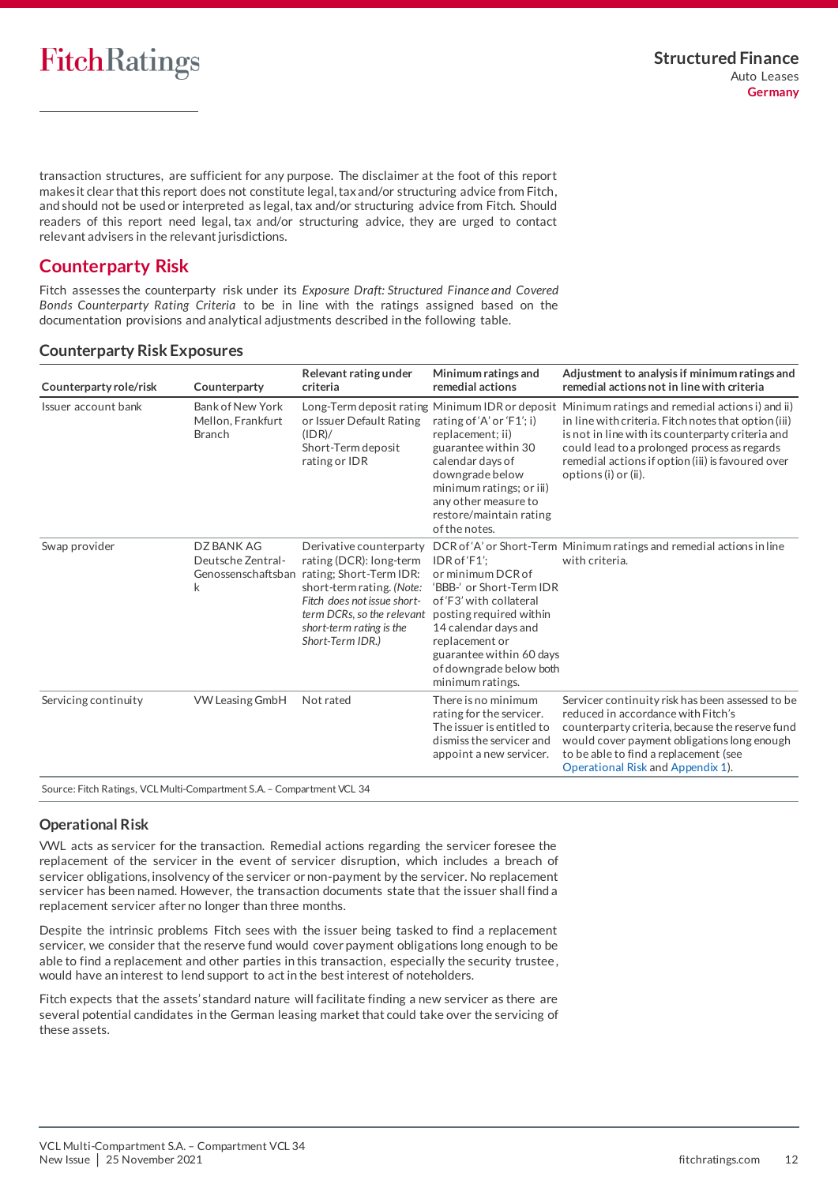transaction structures, are sufficient for any purpose. The disclaimer at the foot of this report makes it clear that this report does not constitute legal, tax and/or structuring advice from Fitch, and should not be used or interpreted as legal, tax and/or structuring advice from Fitch. Should readers of this report need legal, tax and/or structuring advice, they are urged to contact relevant advisers in the relevant jurisdictions.

# <span id="page-11-0"></span>**Counterparty Risk**

Fitch assesses the counterparty risk under its *Exposure Draft: Structured Finance and Covered Bonds Counterparty Rating Criteria* to be in line with the ratings assigned based on the documentation provisions and analytical adjustments described in the following table.

# **Counterparty Risk Exposures**

| Counterparty role/risk | Counterparty                                           | Relevant rating under<br>criteria                                                                                                                                                                                                          | Minimum ratings and<br>remedial actions                                                                                                                                                                                                   | Adjustment to analysis if minimum ratings and<br>remedial actions not in line with criteria                                                                                                                                                                                                                                               |
|------------------------|--------------------------------------------------------|--------------------------------------------------------------------------------------------------------------------------------------------------------------------------------------------------------------------------------------------|-------------------------------------------------------------------------------------------------------------------------------------------------------------------------------------------------------------------------------------------|-------------------------------------------------------------------------------------------------------------------------------------------------------------------------------------------------------------------------------------------------------------------------------------------------------------------------------------------|
| Issuer account bank    | Bank of New York<br>Mellon, Frankfurt<br><b>Branch</b> | or Issuer Default Rating<br>(IDR)/<br>Short-Term deposit<br>rating or IDR                                                                                                                                                                  | rating of 'A' or 'F1'; i)<br>replacement; ii)<br>guarantee within 30<br>calendar days of<br>downgrade below<br>minimum ratings; or iii)<br>any other measure to<br>restore/maintain rating<br>of the notes.                               | Long-Term deposit rating Minimum IDR or deposit Minimum ratings and remedial actions i) and ii)<br>in line with criteria. Fitch notes that option (iii)<br>is not in line with its counterparty criteria and<br>could lead to a prolonged process as regards<br>remedial actions if option (iii) is favoured over<br>options (i) or (ii). |
| Swap provider          | DZ BANK AG<br>Deutsche Zentral-<br>k                   | Derivative counterparty<br>rating (DCR): long-term<br>Genossenschaftsban rating; Short-Term IDR:<br>short-term rating. (Note:<br>Fitch does not issue short-<br>term DCRs, so the relevant<br>short-term rating is the<br>Short-Term IDR.) | $IDRotf$ F1':<br>or minimum DCR of<br>'BBB-' or Short-Term IDR<br>of 'F3' with collateral<br>posting required within<br>14 calendar days and<br>replacement or<br>guarantee within 60 days<br>of downgrade below both<br>minimum ratings. | DCR of 'A' or Short-Term Minimum ratings and remedial actions in line<br>with criteria.                                                                                                                                                                                                                                                   |
| Servicing continuity   | <b>VW Leasing GmbH</b>                                 | Not rated                                                                                                                                                                                                                                  | There is no minimum<br>rating for the servicer.<br>The issuer is entitled to<br>dismiss the servicer and<br>appoint a new servicer.                                                                                                       | Servicer continuity risk has been assessed to be<br>reduced in accordance with Fitch's<br>counterparty criteria, because the reserve fund<br>would cover payment obligations long enough<br>to be able to find a replacement (see<br>Operational Risk and Appendix 1).                                                                    |

# <span id="page-11-2"></span>**Operational Risk**

VWL acts as servicer for the transaction. Remedial actions regarding the servicer foresee the replacement of the servicer in the event of servicer disruption, which includes a breach of servicer obligations, insolvency of the servicer or non-payment by the servicer. No replacement servicer has been named. However, the transaction documents state that the issuer shall find a replacement servicer after no longer than three months.

Despite the intrinsic problems Fitch sees with the issuer being tasked to find a replacement servicer, we consider that the reserve fund would cover payment obligations long enough to be able to find a replacement and other parties in this transaction, especially the security trustee, would have an interest to lend support to act in the best interest of noteholders.

<span id="page-11-1"></span>Fitch expects that the assets' standard nature will facilitate finding a new servicer as there are several potential candidates in the German leasing market that could take over the servicing of these assets.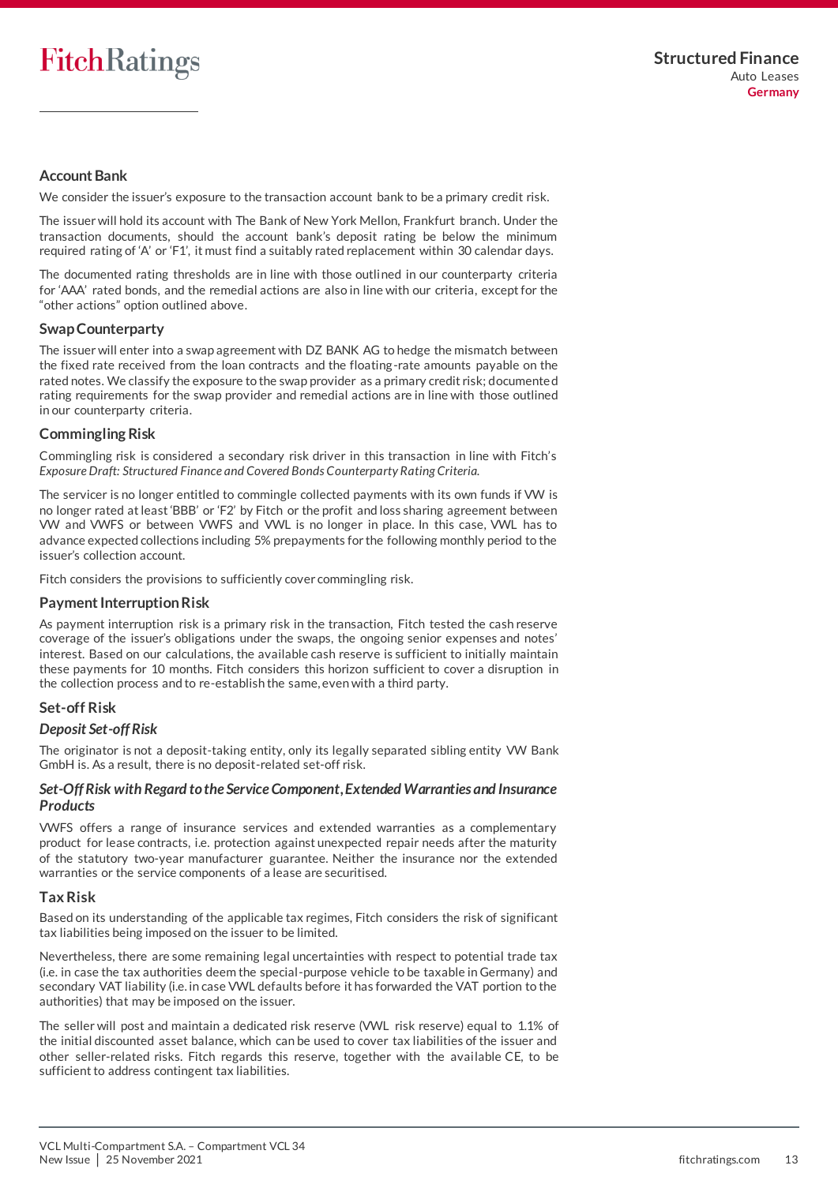# **Account Bank**

We consider the issuer's exposure to the transaction account bank to be a primary credit risk.

The issuer will hold its account with The Bank of New York Mellon, Frankfurt branch. Under the transaction documents, should the account bank's deposit rating be below the minimum required rating of 'A' or 'F1', it must find a suitably rated replacement within 30 calendar days.

The documented rating thresholds are in line with those outlined in our counterparty criteria for 'AAA' rated bonds, and the remedial actions are also in line with our criteria, except for the "other actions" option outlined above.

# **Swap Counterparty**

The issuer will enter into a swap agreement with DZ BANK AG to hedge the mismatch between the fixed rate received from the loan contracts and the floating-rate amounts payable on the rated notes. We classify the exposure to the swap provider as a primary credit risk; documente d rating requirements for the swap provider and remedial actions are in line with those outlined in our counterparty criteria.

# **Commingling Risk**

Commingling risk is considered a secondary risk driver in this transaction in line with Fitch's *Exposure Draft: Structured Finance and Covered Bonds Counterparty Rating Criteria*.

The servicer is no longer entitled to commingle collected payments with its own funds if VW is no longer rated at least'BBB' or 'F2' by Fitch or the profit and loss sharing agreement between VW and VWFS or between VWFS and VWL is no longer in place. In this case, VWL has to advance expected collections including 5% prepayments for the following monthly period to the issuer's collection account.

Fitch considers the provisions to sufficiently cover commingling risk.

# <span id="page-12-0"></span>**Payment Interruption Risk**

As payment interruption risk is a primary risk in the transaction, Fitch tested the cash reserve coverage of the issuer's obligations under the swaps, the ongoing senior expenses and notes' interest. Based on our calculations, the available cash reserve is sufficient to initially maintain these payments for 10 months. Fitch considers this horizon sufficient to cover a disruption in the collection process and to re-establish the same, even with a third party.

# **Set-off Risk**

# *Deposit Set-off Risk*

The originator is not a deposit-taking entity, only its legally separated sibling entity VW Bank GmbH is. As a result, there is no deposit-related set-off risk.

# *Set-Off Risk with Regard to the Service Component, Extended Warranties and Insurance Products*

VWFS offers a range of insurance services and extended warranties as a complementary product for lease contracts, i.e. protection against unexpected repair needs after the maturity of the statutory two-year manufacturer guarantee. Neither the insurance nor the extended warranties or the service components of a lease are securitised.

# **Tax Risk**

Based on its understanding of the applicable tax regimes, Fitch considers the risk of significant tax liabilities being imposed on the issuer to be limited.

Nevertheless, there are some remaining legal uncertainties with respect to potential trade tax (i.e. in case the tax authorities deem the special-purpose vehicle to be taxable in Germany) and secondary VAT liability (i.e. in case VWL defaults before it has forwarded the VAT portion to the authorities) that may be imposed on the issuer.

The seller will post and maintain a dedicated risk reserve (VWL risk reserve) equal to 1.1% of the initial discounted asset balance, which can be used to cover tax liabilities of the issuer and other seller-related risks. Fitch regards this reserve, together with the available CE, to be sufficient to address contingent tax liabilities.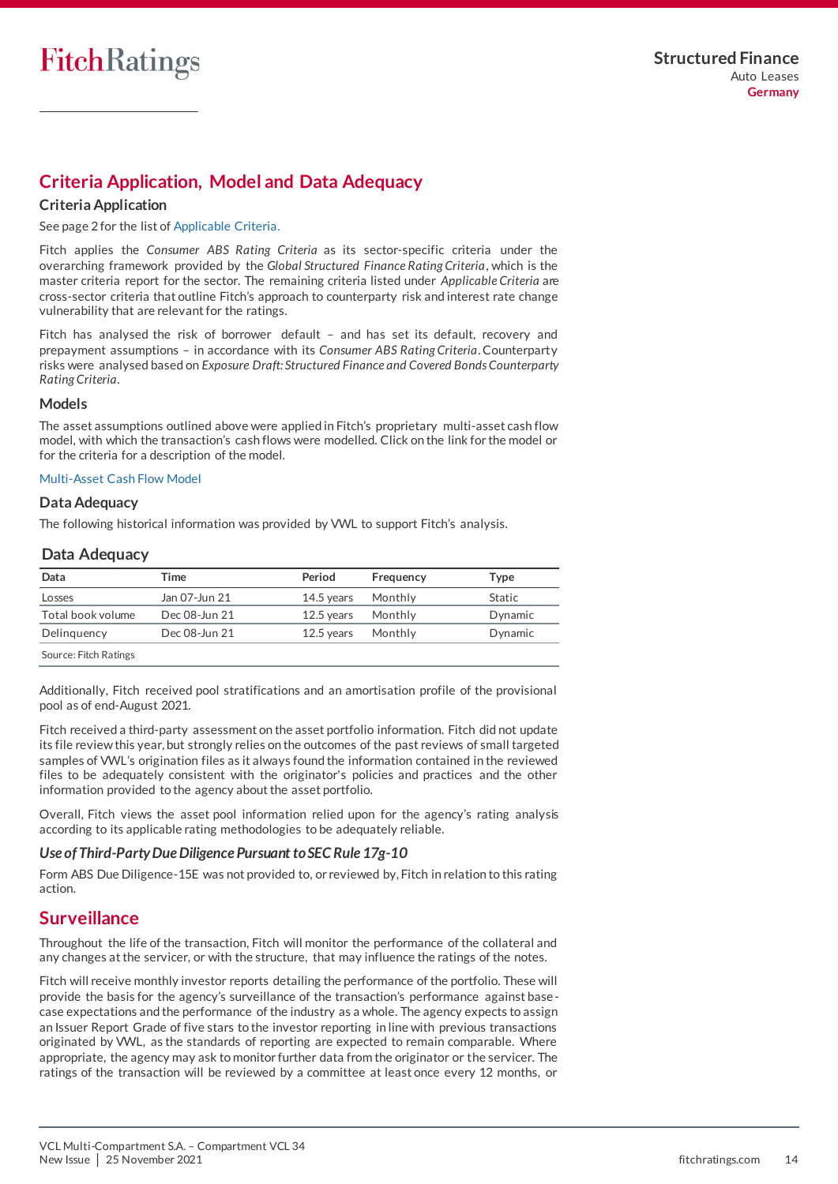# <span id="page-13-0"></span>**Criteria Application, Model and Data Adequacy**

# **Criteria Application**

See page 2 for the list of Applicable Criteria.

Fitch applies the *Consumer ABS Rating Criteria* as its sector-specific criteria under the overarching framework provided by the *Global Structured Finance Rating Criteria*, which is the master criteria report for the sector. The remaining criteria listed under *Applicable Criteria* are cross-sector criteria that outline Fitch's approach to counterparty risk and interest rate change vulnerability that are relevant for the ratings.

Fitch has analysed the risk of borrower default – and has set its default, recovery and prepayment assumptions – in accordance with its *Consumer ABS Rating Criteria*. Counterparty risks were analysed based on *Exposure Draft: Structured Finance and Covered Bonds Counterparty Rating Criteria*.

#### **Models**

The asset assumptions outlined above were applied in Fitch's proprietary multi-asset cash flow model, with which the transaction's cash flows were modelled. Click on the link for the model or for the criteria for a description of the model.

#### [Multi-Asset Cash Flow Model](https://www.fitchratings.com/site/structuredfinance/emeacfm)

# **Data Adequacy**

The following historical information was provided by VWL to support Fitch's analysis.

# **Data Adequacy**

| Data                  | Time          | Period       | Frequency | Tvpe    |
|-----------------------|---------------|--------------|-----------|---------|
| Losses                | Jan 07-Jun 21 | 14.5 years   | Monthly   | Static  |
| Total book volume     | Dec 08-Jun 21 | $12.5$ vears | Monthly   | Dynamic |
| Delinguency           | Dec 08-Jun 21 | $12.5$ years | Monthly   | Dynamic |
| Source: Fitch Ratings |               |              |           |         |

Additionally, Fitch received pool stratifications and an amortisation profile of the provisional pool as of end-August 2021.

Fitch received a third-party assessment on the asset portfolio information. Fitch did not update its file review this year, but strongly relies on the outcomes of the past reviews of small targeted samples of VWL's origination files as it always found the information contained in the reviewed files to be adequately consistent with the originator's policies and practices and the other information provided to the agency about the asset portfolio.

Overall, Fitch views the asset pool information relied upon for the agency's rating analysis according to its applicable rating methodologies to be adequately reliable.

# *Use of Third-Party Due Diligence Pursuant to SEC Rule 17g-10*

Form ABS Due Diligence-15E was not provided to, or reviewed by, Fitch in relation to this rating action.

# <span id="page-13-1"></span>**Surveillance**

Throughout the life of the transaction, Fitch will monitor the performance of the collateral and any changes at the servicer, or with the structure, that may influence the ratings of the notes.

Fitch will receive monthly investor reports detailing the performance of the portfolio. These will provide the basis for the agency's surveillance of the transaction's performance against base case expectations and the performance of the industry as a whole. The agency expects to assign an Issuer Report Grade of five stars to the investor reporting in line with previous transactions originated by VWL, as the standards of reporting are expected to remain comparable. Where appropriate, the agency may ask to monitor further data from the originator or the servicer. The ratings of the transaction will be reviewed by a committee at least once every 12 months, or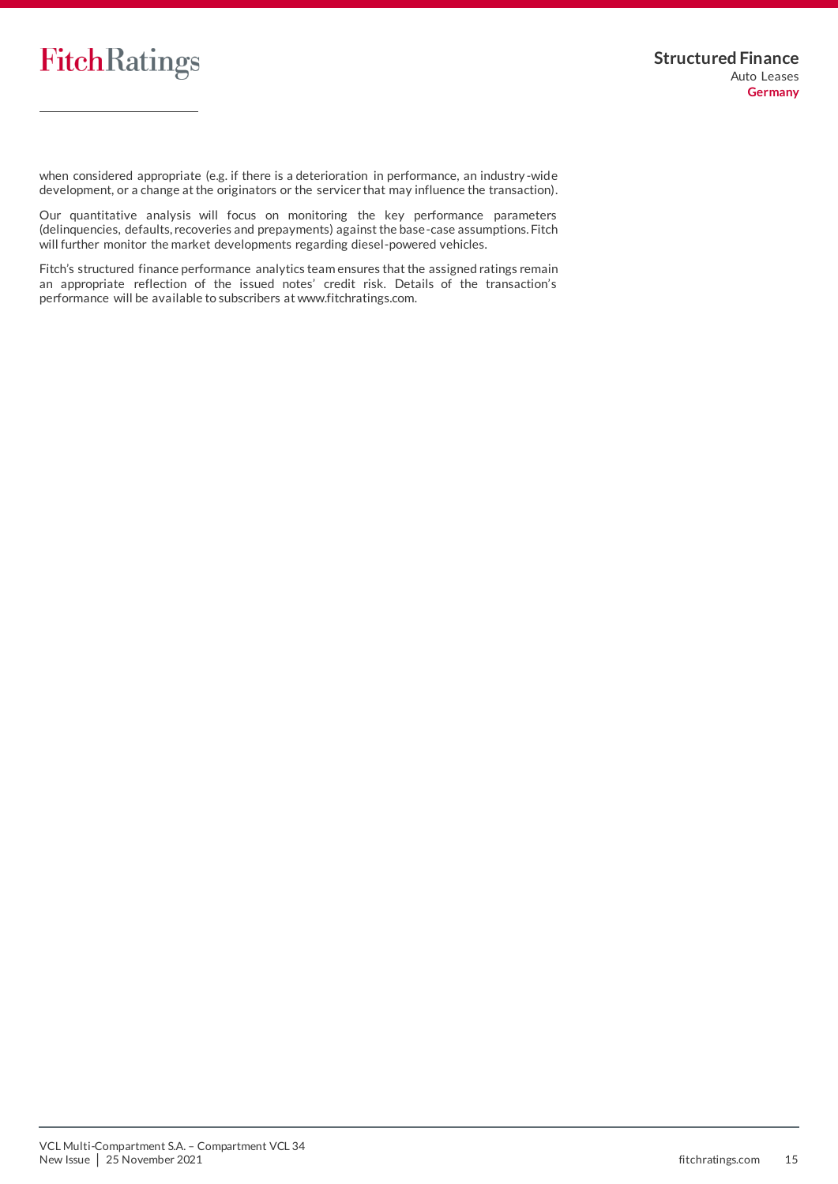

when considered appropriate (e.g. if there is a deterioration in performance, an industry -wide development, or a change at the originators or the servicer that may influence the transaction).

Our quantitative analysis will focus on monitoring the key performance parameters (delinquencies, defaults, recoveries and prepayments) against the base-case assumptions. Fitch will further monitor the market developments regarding diesel-powered vehicles.

Fitch's structured finance performance analytics team ensures that the assigned ratings remain an appropriate reflection of the issued notes' credit risk. Details of the transaction's performance will be available to subscribers at www.fitchratings.com.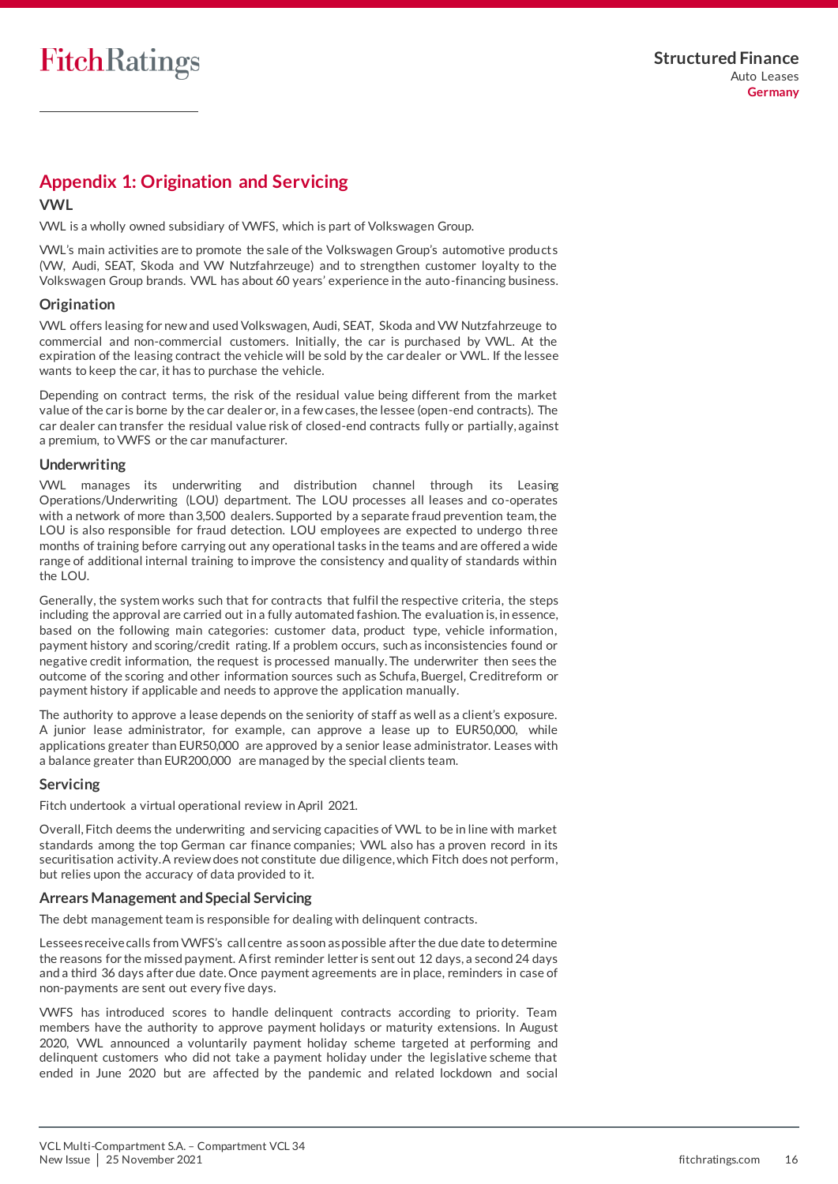# <span id="page-15-0"></span>**Appendix 1: Origination and Servicing**

# **VWL**

VWL is a wholly owned subsidiary of VWFS, which is part of Volkswagen Group.

VWL's main activities are to promote the sale of the Volkswagen Group's automotive products (VW, Audi, SEAT, Skoda and VW Nutzfahrzeuge) and to strengthen customer loyalty to the Volkswagen Group brands. VWL has about 60 years' experience in the auto-financing business.

# **Origination**

VWL offers leasing for new and used Volkswagen, Audi, SEAT, Skoda and VW Nutzfahrzeuge to commercial and non-commercial customers. Initially, the car is purchased by VWL. At the expiration of the leasing contract the vehicle will be sold by the car dealer or VWL. If the lessee wants to keep the car, it has to purchase the vehicle.

Depending on contract terms, the risk of the residual value being different from the market value of the car is borne by the car dealer or, in a few cases, the lessee (open-end contracts). The car dealer can transfer the residual value risk of closed-end contracts fully or partially, against a premium, to VWFS or the car manufacturer.

# **Underwriting**

VWL manages its underwriting and distribution channel through its Leasing Operations/Underwriting (LOU) department. The LOU processes all leases and co-operates with a network of more than 3,500 dealers. Supported by a separate fraud prevention team, the LOU is also responsible for fraud detection. LOU employees are expected to undergo three months of training before carrying out any operational tasks in the teams and are offered a wide range of additional internal training to improve the consistency and quality of standards within the LOU.

Generally, the system works such that for contracts that fulfil the respective criteria, the steps including the approval are carried out in a fully automated fashion. The evaluation is, in essence, based on the following main categories: customer data, product type, vehicle information, payment history and scoring/credit rating. If a problem occurs, such as inconsistencies found or negative credit information, the request is processed manually. The underwriter then sees the outcome of the scoring and other information sources such as Schufa, Buergel, Creditreform or payment history if applicable and needs to approve the application manually.

The authority to approve a lease depends on the seniority of staff as well as a client's exposure. A junior lease administrator, for example, can approve a lease up to EUR50,000, while applications greater than EUR50,000 are approved by a senior lease administrator. Leases with a balance greater than EUR200,000 are managed by the special clients team.

# **Servicing**

Fitch undertook a virtual operational review in April 2021.

Overall, Fitch deems the underwriting and servicing capacities of VWL to be in line with market standards among the top German car finance companies; VWL also has a proven record in its securitisation activity. A review does not constitute due diligence, which Fitch does not perform, but relies upon the accuracy of data provided to it.

# **Arrears Management and Special Servicing**

The debt management team is responsible for dealing with delinquent contracts.

Lessees receive calls from VWFS's call centre as soon as possible after the due date to determine the reasons for the missed payment. A first reminder letter is sent out 12 days, a second 24 days and a third 36 days after due date. Once payment agreements are in place, reminders in case of non-payments are sent out every five days.

VWFS has introduced scores to handle delinquent contracts according to priority. Team members have the authority to approve payment holidays or maturity extensions. In August 2020, VWL announced a voluntarily payment holiday scheme targeted at performing and delinquent customers who did not take a payment holiday under the legislative scheme that ended in June 2020 but are affected by the pandemic and related lockdown and social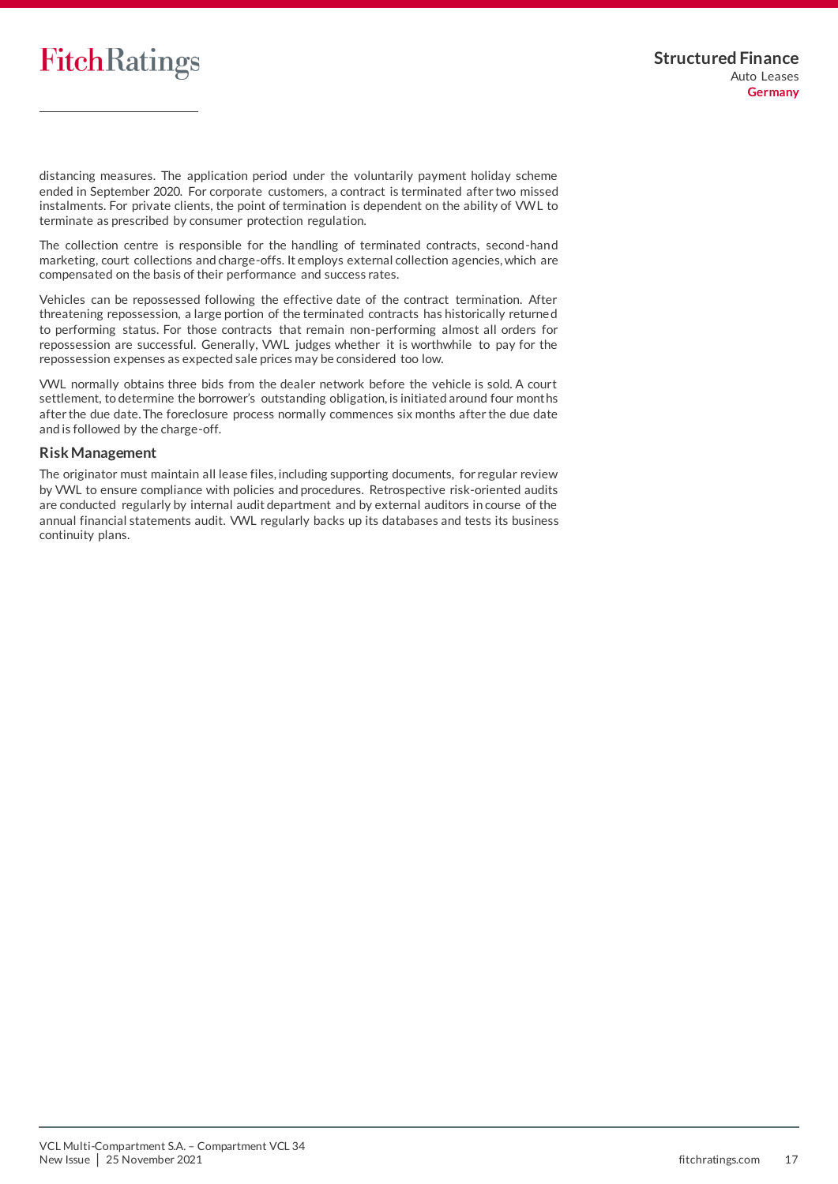

distancing measures. The application period under the voluntarily payment holiday scheme ended in September 2020. For corporate customers, a contract is terminated after two missed instalments. For private clients, the point of termination is dependent on the ability of VWL to terminate as prescribed by consumer protection regulation.

The collection centre is responsible for the handling of terminated contracts, second-hand marketing, court collections and charge-offs. It employs external collection agencies, which are compensated on the basis of their performance and success rates.

Vehicles can be repossessed following the effective date of the contract termination. After threatening repossession, a large portion of the terminated contracts has historically returne d to performing status. For those contracts that remain non-performing almost all orders for repossession are successful. Generally, VWL judges whether it is worthwhile to pay for the repossession expenses as expected sale prices may be considered too low.

VWL normally obtains three bids from the dealer network before the vehicle is sold. A court settlement, to determine the borrower's outstanding obligation, is initiated around four months after the due date. The foreclosure process normally commences six months after the due date and is followed by the charge-off.

#### **RiskManagement**

<span id="page-16-0"></span>The originator must maintain all lease files, including supporting documents, for regular review by VWL to ensure compliance with policies and procedures. Retrospective risk-oriented audits are conducted regularly by internal audit department and by external auditors in course of the annual financial statements audit. VWL regularly backs up its databases and tests its business continuity plans.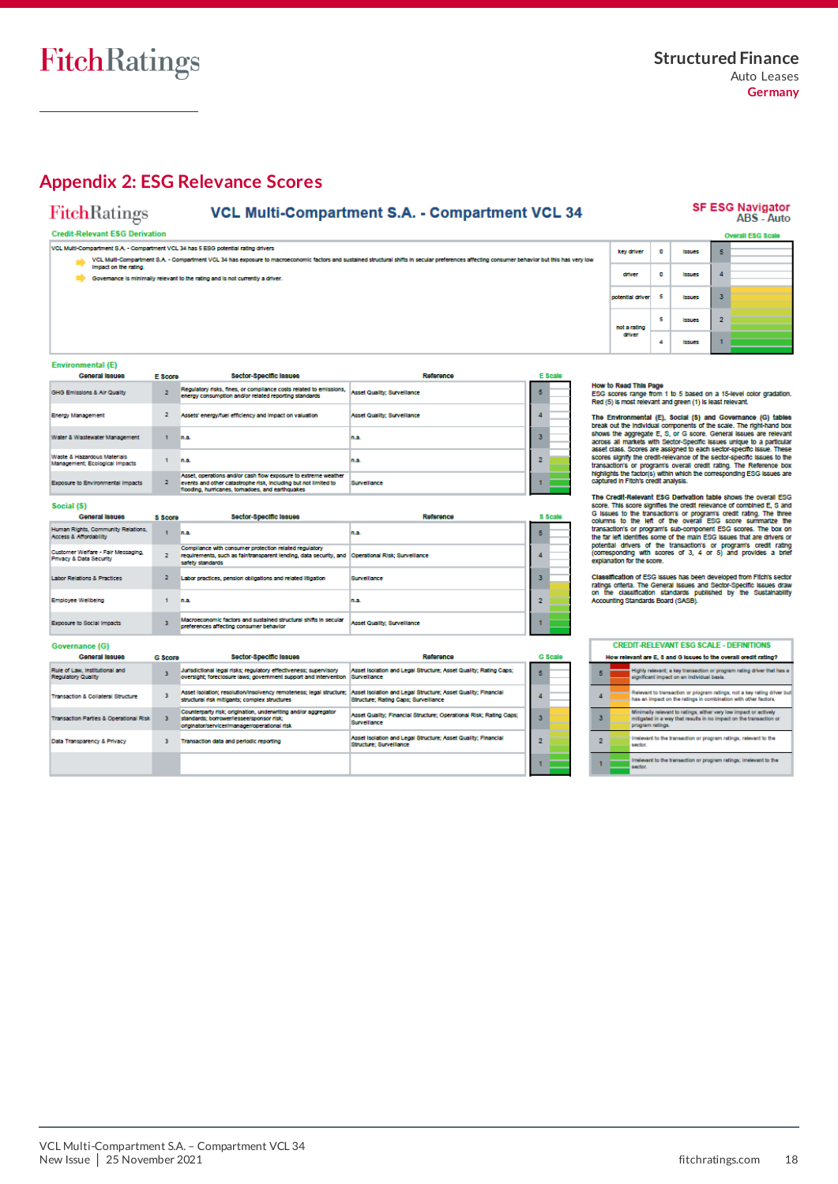# <span id="page-17-0"></span>**Appendix 2: ESG Relevance Scores**

# **VCL Multi-Compartment S.A. - Compartment VCL 34**

# SF ESG Navigator<br>ABS - Auto

FitchRatings **Credit-Relevant ESG Derivation** 

|  | VCL Multi-Compartment S.A. - Compartment VCL 34 has 5 ESG potential rating drivers                                                                                                                                      |
|--|-------------------------------------------------------------------------------------------------------------------------------------------------------------------------------------------------------------------------|
|  | VCL Multi-Compartment S.A. - Compartment VCL 34 has exposure to macroeconomic factors and sustained structural shifts in secular preferences affecting consumer behavior but this has very low<br>Impact on the rating. |
|  | Governance is minimally relevant to the rating and is not currently a driver.                                                                                                                                           |

|                  |     |               |   | <b>Overall ESG Scale</b> |
|------------------|-----|---------------|---|--------------------------|
| key driver       | ۰   | <b>Issues</b> | 5 |                          |
| driver           | ۰   | <b>Issues</b> |   |                          |
| potential driver | - 5 | <b>Issues</b> | з |                          |
| not a rating     | ς   | <b>Issues</b> | 2 |                          |
| driver           | 4   | <b>Issues</b> |   |                          |

#### **Service Committee** E)

| Environmental (E)                                             |         |                                                                                                                                                                                       |                                     |         |
|---------------------------------------------------------------|---------|---------------------------------------------------------------------------------------------------------------------------------------------------------------------------------------|-------------------------------------|---------|
| General Issues                                                | E Score | Sector-Specific Issues                                                                                                                                                                | Reference                           | E Scale |
| GHG Emissions & Air Quality                                   |         | Regulatory risks, fines, or compliance costs related to emissions.<br>energy consumption and/or related reporting standards                                                           | <b>Asset Quality</b> ; Surveillance |         |
| <b>Energy Management</b>                                      | 2       | Assets' energy/fuel efficiency and impact on valuation                                                                                                                                | <b>Asset Quality: Surveillance</b>  |         |
| Water & Wastewater Management                                 |         | n.a.                                                                                                                                                                                  | n.a.                                |         |
| Waste & Hazardous Materials<br>Management: Ecological Impacts |         | n.a.                                                                                                                                                                                  | n.a.                                |         |
| Exposure to Environmental Impacts                             | 2       | Asset, operations and/or cash flow exposure to extreme weather<br>events and other catastrophe risk, including but not limited to<br>flooding, hurricanes, tornadoes, and earthquakes | Survellance                         |         |

#### Social (S)

| General Issues                                                | <b>S</b> Score | Sector-Specific Issues                                                                                                                                                           | Reference                          |   | S Scale |  |
|---------------------------------------------------------------|----------------|----------------------------------------------------------------------------------------------------------------------------------------------------------------------------------|------------------------------------|---|---------|--|
| Human Rights, Community Relations,<br>Access & Affordability  |                | n.a.                                                                                                                                                                             | In.a.                              | 5 |         |  |
| Customer Welfare - Fair Messaging,<br>Privacy & Data Security |                | Compilance with consumer protection related regulatory<br>requirements, such as fair/transparent lending, data security, and  Operational Risk; Surveillance<br>safety standards |                                    |   |         |  |
| <b>Labor Relations &amp; Practices</b>                        |                | Labor practices, pension obligations and related litigation                                                                                                                      | <b>Survellance</b>                 |   |         |  |
| Employee Wellbeing                                            |                | n.a.                                                                                                                                                                             | In.a.                              |   |         |  |
| Exposure to Social Impacts                                    |                | Macroeconomic factors and sustained structural shifts in secular<br>preferences affecting consumer behavior                                                                      | <b>Asset Quality: Surveillance</b> |   |         |  |
| Governance (G)                                                |                |                                                                                                                                                                                  |                                    |   |         |  |

| wernance              |  |
|-----------------------|--|
| <b>Coneral Issues</b> |  |

| General Issues                                              | <b>G</b> Score | Sector-Specific Issues                                                                                                                                     | Reference                                                                                             |   | G Sca |  |
|-------------------------------------------------------------|----------------|------------------------------------------------------------------------------------------------------------------------------------------------------------|-------------------------------------------------------------------------------------------------------|---|-------|--|
| Rule of Law, Institutional and<br><b>Regulatory Quality</b> |                | Jurisdictional legal risks: regulatory effectiveness: supervisory<br>oversight: foreclosure laws: oovernment support and intervention                      | Asset Isolation and Legal Structure: Asset Quality: Rating Caps:<br>Surveillance                      | 5 |       |  |
| Transaction & Collateral Structure                          |                | Asset Isolation; resolution/insolvency remoteness; legal structure;<br>structural risk mitigants: complex structures                                       | Asset Isolation and Legal Structure: Asset Quality: Financial<br>Structure: Rating Caps: Surveillance |   |       |  |
| <b>Transaction Parties &amp; Operational Risk</b>           |                | Counterparty risk: origination, underwriting and/or apprecator<br>standards: borrower/lessee/sponsor risk:<br>originator/servicer/manager/operational risk | Asset Quality: Financial Structure: Operational Risk: Rating Caps:<br>Surveillance                    |   |       |  |
| Data Transparency & Privacy                                 |                | Transaction data and periodic reporting                                                                                                                    | Asset Isolation and Legal Structure; Asset Quality; Financial<br><b>Structure: Survellance</b>        | 2 |       |  |
|                                                             |                |                                                                                                                                                            |                                                                                                       |   |       |  |

How to Read This Page<br>ESG scores range from 1 to 5 based on a 15-level color gradation.<br>Red (5) is most relevant and green (1) is least relevant.

The Environmental (E), Social (S) and Governance (G) tables<br>these kout the individual components of the scale. The right-hand box<br>shows the aggregate E, S, or G soore. General issues are relevant<br>across all markets with Se

The Credit-Relevant ESG Derivation table shows the overall ESG some. This score signifies the credit relevance of combined E, S and G issues to the frameations or programs credit rating. The three computers currents of pr

Classification of ESG issues has been developed from Fitch's sector<br>ratings criteria. The General Issues and Sector-Specific Issues draw<br>on the classification standards published by the Sustainability<br>Accounting Standards

|   | <b>CREDIT-RELEVANT ESG SCALE - DEFINITIONS</b>                   |                                                                                                                                                             |  |  |
|---|------------------------------------------------------------------|-------------------------------------------------------------------------------------------------------------------------------------------------------------|--|--|
|   | How relevant are E, 3 and G Issues to the overall credit rating? |                                                                                                                                                             |  |  |
| 5 |                                                                  | Highly relevant; a key transaction or program rating driver that has a<br>significant impact on an individual basis.                                        |  |  |
|   |                                                                  | Relevant to transaction or program ratings; not a key rating driver but<br>has an impact on the ratings in combination with other factors.                  |  |  |
| з |                                                                  | Minimally relevant to ratings; either very low impact or actively<br>mitigated in a way that results in no impact on the transaction or<br>program ratings. |  |  |
|   |                                                                  | Irrelevant to the transaction or program ratings; relevant to the<br>sector.                                                                                |  |  |
|   |                                                                  | Irrelevant to the transaction or program ratings; irrelevant to the<br>sector.                                                                              |  |  |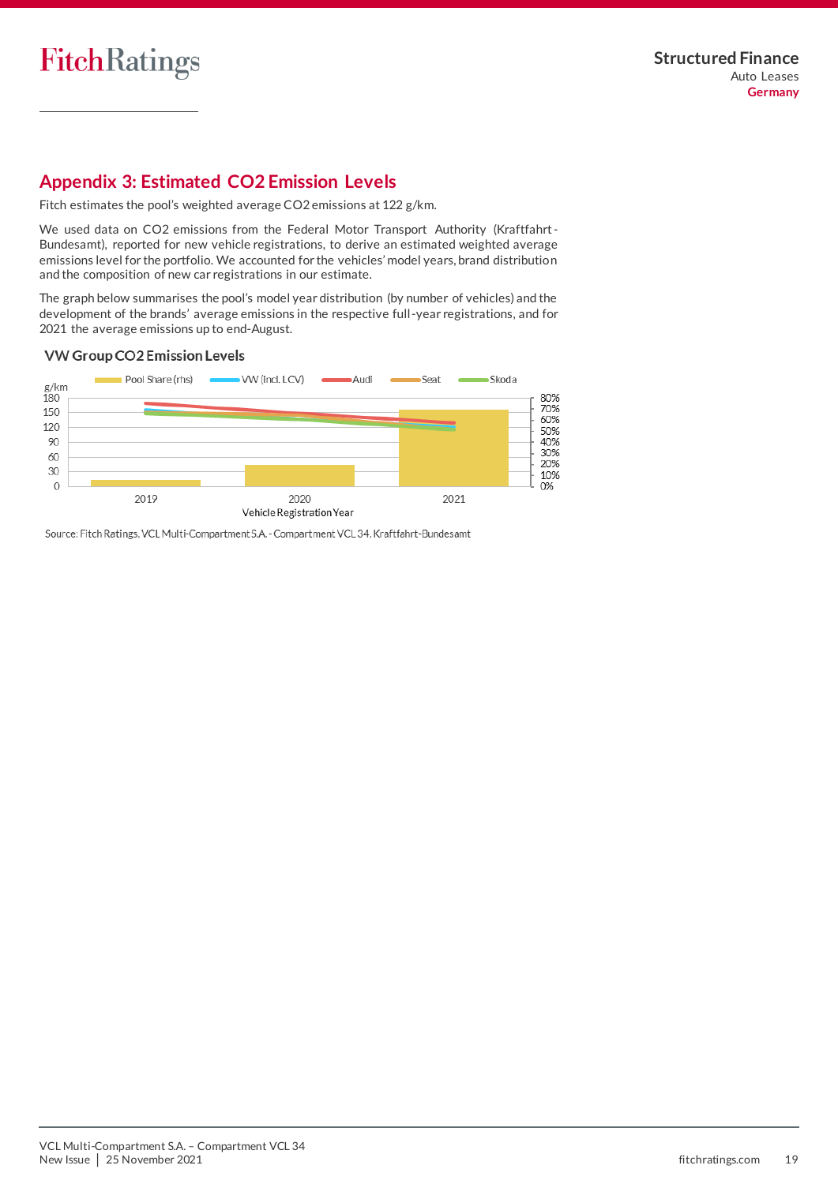

# <span id="page-18-0"></span>**Appendix 3: Estimated CO2 Emission Levels**

Fitch estimates the pool's weighted average CO2 emissions at 122 g/km.

We used data on CO2 emissions from the Federal Motor Transport Authority (Kraftfahrt-Bundesamt), reported for new vehicle registrations, to derive an estimated weighted average emissions level for the portfolio. We accounted for the vehicles' model years, brand distribution and the composition of new car registrations in our estimate.

The graph below summarises the pool's model year distribution (by number of vehicles) and the development of the brands' average emissions in the respective full-year registrations, and for 2021 the average emissions up to end-August.

# VW Group CO2 Emission Levels



Source: Fitch Ratings, VCL Multi-Compartment S.A. - Compartment VCL 34, Kraftfahrt-Bundesamt